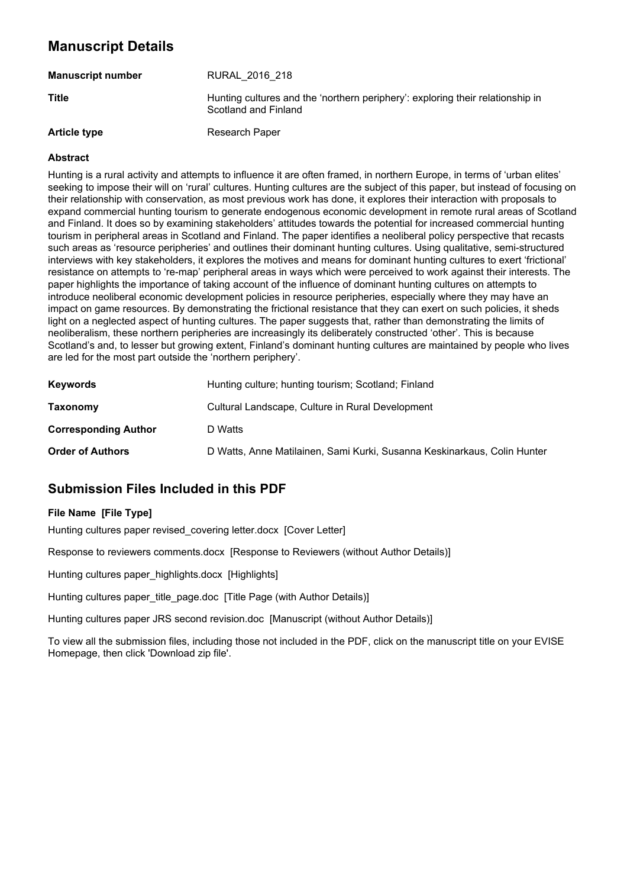# **Manuscript Details**

| <b>Manuscript number</b> | RURAL 2016 218                                                                                         |
|--------------------------|--------------------------------------------------------------------------------------------------------|
| <b>Title</b>             | Hunting cultures and the 'northern periphery': exploring their relationship in<br>Scotland and Finland |
| <b>Article type</b>      | Research Paper                                                                                         |

## **Abstract**

Hunting is a rural activity and attempts to influence it are often framed, in northern Europe, in terms of 'urban elites' seeking to impose their will on 'rural' cultures. Hunting cultures are the subject of this paper, but instead of focusing on their relationship with conservation, as most previous work has done, it explores their interaction with proposals to expand commercial hunting tourism to generate endogenous economic development in remote rural areas of Scotland and Finland. It does so by examining stakeholders' attitudes towards the potential for increased commercial hunting tourism in peripheral areas in Scotland and Finland. The paper identifies a neoliberal policy perspective that recasts such areas as 'resource peripheries' and outlines their dominant hunting cultures. Using qualitative, semi-structured interviews with key stakeholders, it explores the motives and means for dominant hunting cultures to exert 'frictional' resistance on attempts to 're-map' peripheral areas in ways which were perceived to work against their interests. The paper highlights the importance of taking account of the influence of dominant hunting cultures on attempts to introduce neoliberal economic development policies in resource peripheries, especially where they may have an impact on game resources. By demonstrating the frictional resistance that they can exert on such policies, it sheds light on a neglected aspect of hunting cultures. The paper suggests that, rather than demonstrating the limits of neoliberalism, these northern peripheries are increasingly its deliberately constructed 'other'. This is because Scotland's and, to lesser but growing extent, Finland's dominant hunting cultures are maintained by people who lives are led for the most part outside the 'northern periphery'.

| <b>Keywords</b>             | Hunting culture; hunting tourism; Scotland; Finland                      |  |  |
|-----------------------------|--------------------------------------------------------------------------|--|--|
| Taxonomy                    | Cultural Landscape, Culture in Rural Development                         |  |  |
| <b>Corresponding Author</b> | D Watts                                                                  |  |  |
| <b>Order of Authors</b>     | D Watts, Anne Matilainen, Sami Kurki, Susanna Keskinarkaus, Colin Hunter |  |  |

# **Submission Files Included in this PDF**

## **File Name [File Type]**

Hunting cultures paper revised covering letter.docx [Cover Letter]

Response to reviewers comments.docx [Response to Reviewers (without Author Details)]

Hunting cultures paper\_highlights.docx [Highlights]

Hunting cultures paper title page.doc [Title Page (with Author Details)]

Hunting cultures paper JRS second revision.doc [Manuscript (without Author Details)]

To view all the submission files, including those not included in the PDF, click on the manuscript title on your EVISE Homepage, then click 'Download zip file'.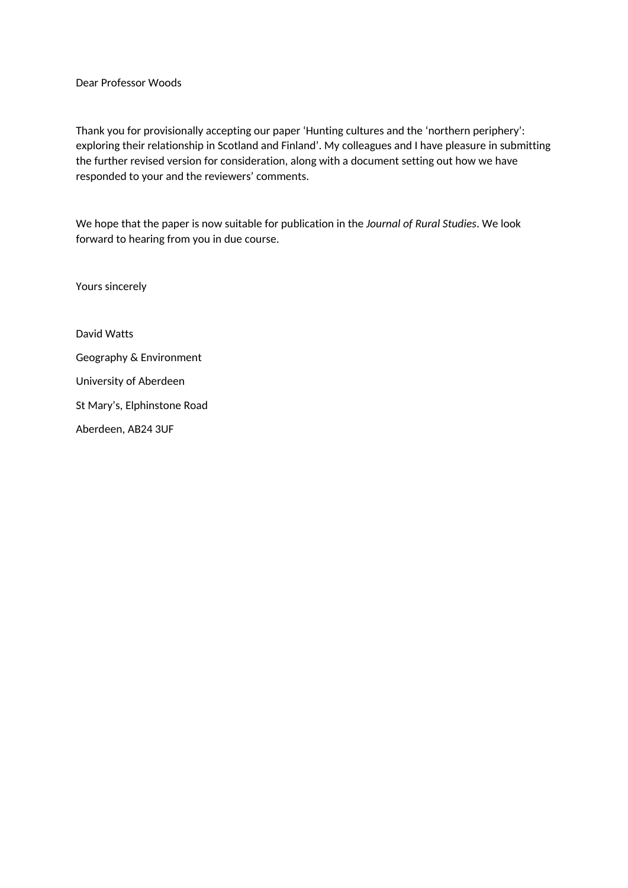Dear Professor Woods

Thank you for provisionally accepting our paper 'Hunting cultures and the 'northern periphery': exploring their relationship in Scotland and Finland'. My colleagues and I have pleasure in submitting the further revised version for consideration, along with a document setting out how we have responded to your and the reviewers' comments.

We hope that the paper is now suitable for publication in the *Journal of Rural Studies*. We look forward to hearing from you in due course.

Yours sincerely

David Watts Geography & Environment University of Aberdeen St Mary's, Elphinstone Road Aberdeen, AB24 3UF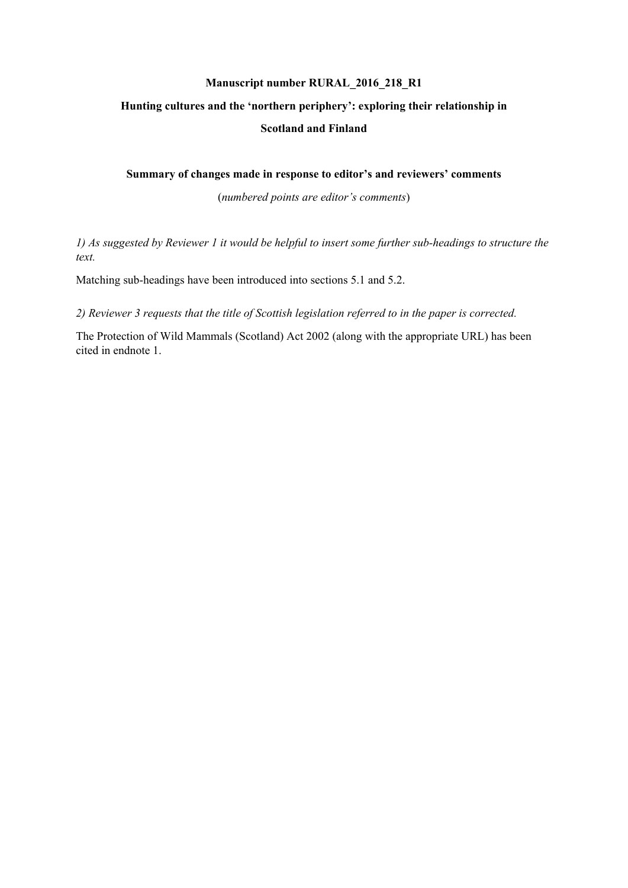## **Manuscript number RURAL\_2016\_218\_R1**

# **Hunting cultures and the 'northern periphery': exploring their relationship in Scotland and Finland**

## **Summary of changes made in response to editor's and reviewers' comments**

(*numbered points are editor's comments*)

*1) As suggested by Reviewer 1 it would be helpful to insert some further sub-headings to structure the text.*

Matching sub-headings have been introduced into sections 5.1 and 5.2.

*2) Reviewer 3 requests that the title of Scottish legislation referred to in the paper is corrected.*

The Protection of Wild Mammals (Scotland) Act 2002 (along with the appropriate URL) has been cited in endnote 1.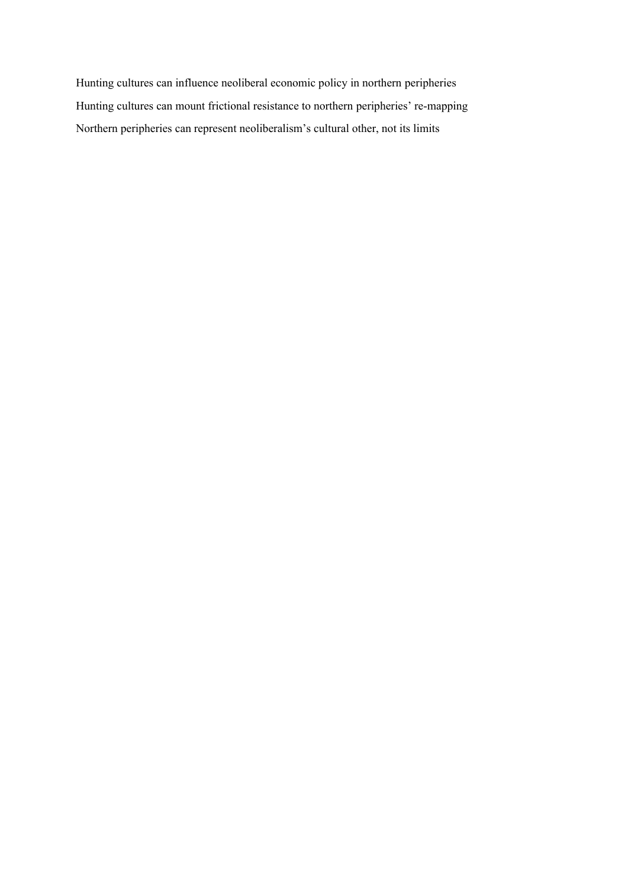Hunting cultures can influence neoliberal economic policy in northern peripheries Hunting cultures can mount frictional resistance to northern peripheries' re-mapping Northern peripheries can represent neoliberalism's cultural other, not its limits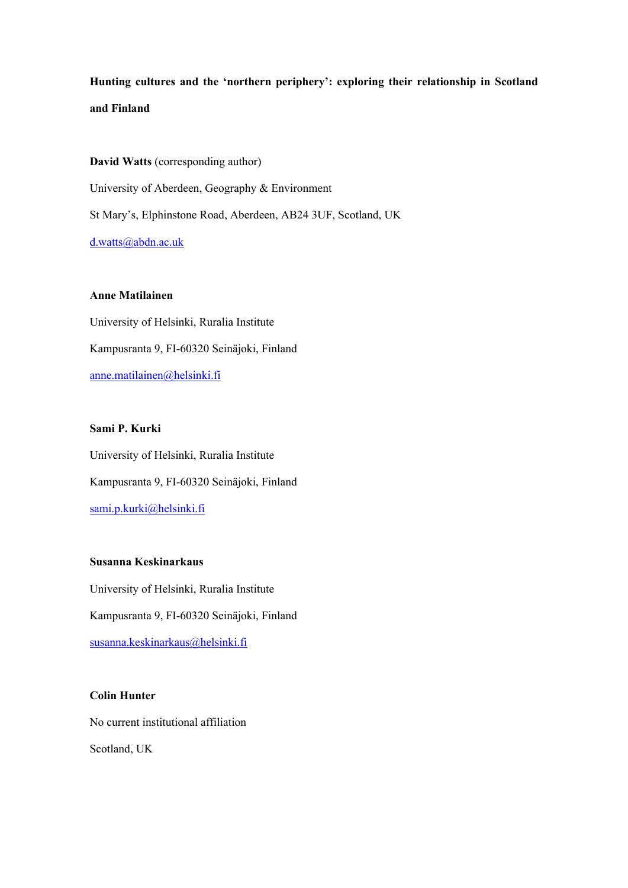**Hunting cultures and the 'northern periphery': exploring their relationship in Scotland and Finland**

**David Watts** (corresponding author) University of Aberdeen, Geography & Environment St Mary's, Elphinstone Road, Aberdeen, AB24 3UF, Scotland, UK [d.watts@abdn.ac.uk](mailto:d.watts@abdn.ac.uk)

## **Anne Matilainen**

University of Helsinki, Ruralia Institute Kampusranta 9, FI-60320 Seinäjoki, Finland [anne.matilainen@helsinki.fi](mailto:anne.matilainen@helsinki.fi)

## **Sami P. Kurki**

University of Helsinki, Ruralia Institute Kampusranta 9, FI-60320 Seinäjoki, Finland [sami.p.kurki@helsinki.fi](mailto:sami.p.kurki@helsinki.fi)

## **Susanna Keskinarkaus**

University of Helsinki, Ruralia Institute Kampusranta 9, FI-60320 Seinäjoki, Finland [susanna.keskinarkaus@helsinki.fi](mailto:susanna.keskinarkaus@helsinki.fi)

## **Colin Hunter**

No current institutional affiliation

Scotland, UK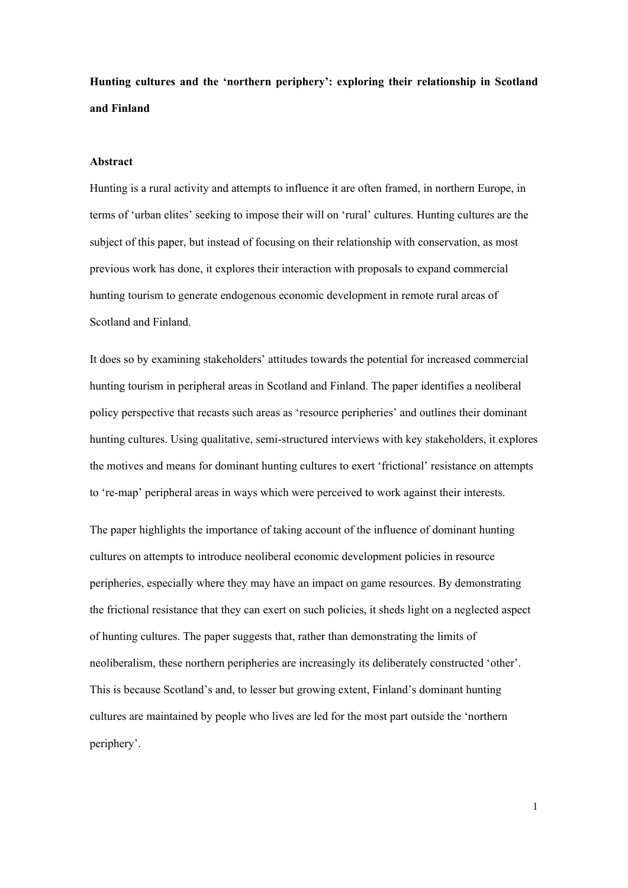**Hunting cultures and the 'northern periphery': exploring their relationship in Scotland and Finland**

#### **Abstract**

Hunting is a rural activity and attempts to influence it are often framed, in northern Europe, in terms of 'urban elites' seeking to impose their will on 'rural' cultures. Hunting cultures are the subject of this paper, but instead of focusing on their relationship with conservation, as most previous work has done, it explores their interaction with proposals to expand commercial hunting tourism to generate endogenous economic development in remote rural areas of Scotland and Finland.

It does so by examining stakeholders' attitudes towards the potential for increased commercial hunting tourism in peripheral areas in Scotland and Finland. The paper identifies a neoliberal policy perspective that recasts such areas as 'resource peripheries' and outlines their dominant hunting cultures. Using qualitative, semi-structured interviews with key stakeholders, it explores the motives and means for dominant hunting cultures to exert 'frictional' resistance on attempts to 're-map' peripheral areas in ways which were perceived to work against their interests.

The paper highlights the importance of taking account of the influence of dominant hunting cultures on attempts to introduce neoliberal economic development policies in resource peripheries, especially where they may have an impact on game resources. By demonstrating the frictional resistance that they can exert on such policies, it sheds light on a neglected aspect of hunting cultures. The paper suggests that, rather than demonstrating the limits of neoliberalism, these northern peripheries are increasingly its deliberately constructed 'other'. This is because Scotland's and, to lesser but growing extent, Finland's dominant hunting cultures are maintained by people who lives are led for the most part outside the 'northern periphery'.

1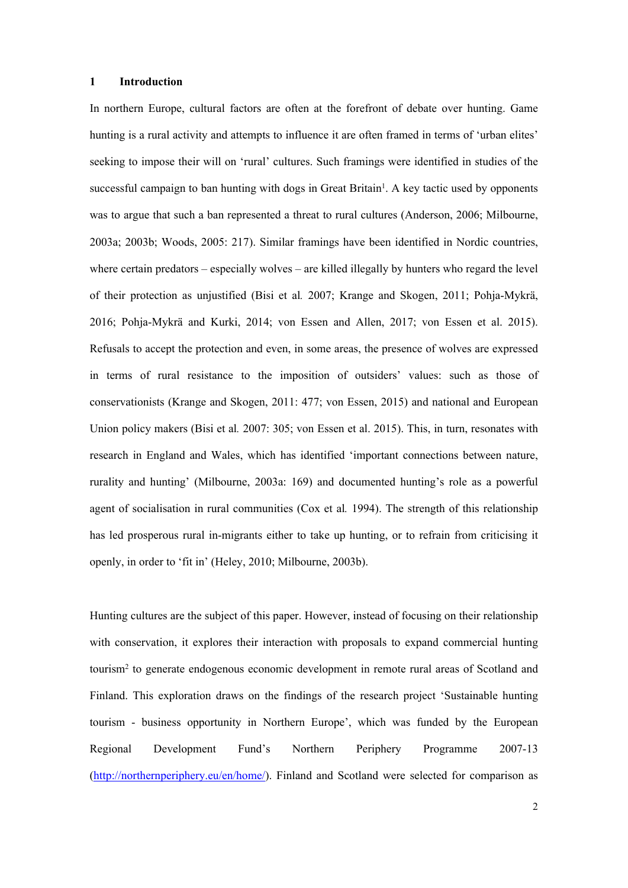## **1 Introduction**

In northern Europe, cultural factors are often at the forefront of debate over hunting. Game hunting is a rural activity and attempts to influence it are often framed in terms of 'urban elites' seeking to impose their will on 'rural' cultures. Such framings were identified in studies of the successful campaign to ban hunting with dogs in Great Britain<sup>1</sup>. A key tactic used by opponents was to argue that such a ban represented a threat to rural cultures (Anderson, 2006; Milbourne, 2003a; 2003b; Woods, 2005: 217). Similar framings have been identified in Nordic countries, where certain predators – especially wolves – are killed illegally by hunters who regard the level of their protection as unjustified (Bisi et al*.* 2007; Krange and Skogen, 2011; Pohja-Mykrä, 2016; Pohja-Mykrä and Kurki, 2014; von Essen and Allen, 2017; von Essen et al. 2015). Refusals to accept the protection and even, in some areas, the presence of wolves are expressed in terms of rural resistance to the imposition of outsiders' values: such as those of conservationists (Krange and Skogen, 2011: 477; von Essen, 2015) and national and European Union policy makers (Bisi et al*.* 2007: 305; von Essen et al. 2015). This, in turn, resonates with research in England and Wales, which has identified 'important connections between nature, rurality and hunting' (Milbourne, 2003a: 169) and documented hunting's role as a powerful agent of socialisation in rural communities (Cox et al*.* 1994). The strength of this relationship has led prosperous rural in-migrants either to take up hunting, or to refrain from criticising it openly, in order to 'fit in' (Heley, 2010; Milbourne, 2003b).

Hunting cultures are the subject of this paper. However, instead of focusing on their relationship with conservation, it explores their interaction with proposals to expand commercial hunting tourism<sup>2</sup> to generate endogenous economic development in remote rural areas of Scotland and Finland. This exploration draws on the findings of the research project 'Sustainable hunting tourism - business opportunity in Northern Europe', which was funded by the European Regional Development Fund's Northern Periphery Programme 2007-13 ([http://northernperiphery.eu/en/home/\)](http://northernperiphery.eu/en/home/). Finland and Scotland were selected for comparison as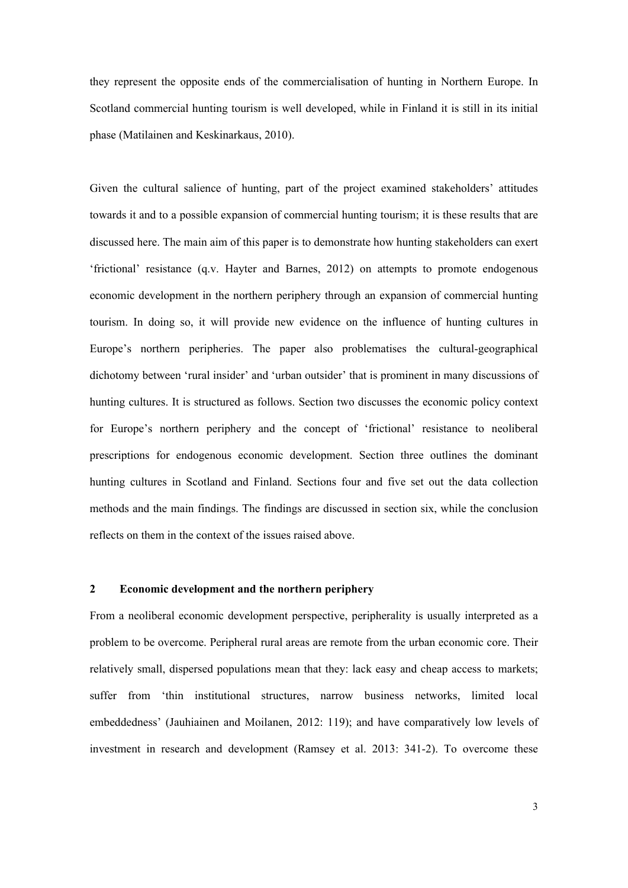they represent the opposite ends of the commercialisation of hunting in Northern Europe. In Scotland commercial hunting tourism is well developed, while in Finland it is still in its initial phase (Matilainen and Keskinarkaus, 2010).

Given the cultural salience of hunting, part of the project examined stakeholders' attitudes towards it and to a possible expansion of commercial hunting tourism; it is these results that are discussed here. The main aim of this paper is to demonstrate how hunting stakeholders can exert 'frictional' resistance (q.v. Hayter and Barnes, 2012) on attempts to promote endogenous economic development in the northern periphery through an expansion of commercial hunting tourism. In doing so, it will provide new evidence on the influence of hunting cultures in Europe's northern peripheries. The paper also problematises the cultural-geographical dichotomy between 'rural insider' and 'urban outsider' that is prominent in many discussions of hunting cultures. It is structured as follows. Section two discusses the economic policy context for Europe's northern periphery and the concept of 'frictional' resistance to neoliberal prescriptions for endogenous economic development. Section three outlines the dominant hunting cultures in Scotland and Finland. Sections four and five set out the data collection methods and the main findings. The findings are discussed in section six, while the conclusion reflects on them in the context of the issues raised above.

## **2 Economic development and the northern periphery**

From a neoliberal economic development perspective, peripherality is usually interpreted as a problem to be overcome. Peripheral rural areas are remote from the urban economic core. Their relatively small, dispersed populations mean that they: lack easy and cheap access to markets; suffer from 'thin institutional structures, narrow business networks, limited local embeddedness' (Jauhiainen and Moilanen, 2012: 119); and have comparatively low levels of investment in research and development (Ramsey et al. 2013: 341-2). To overcome these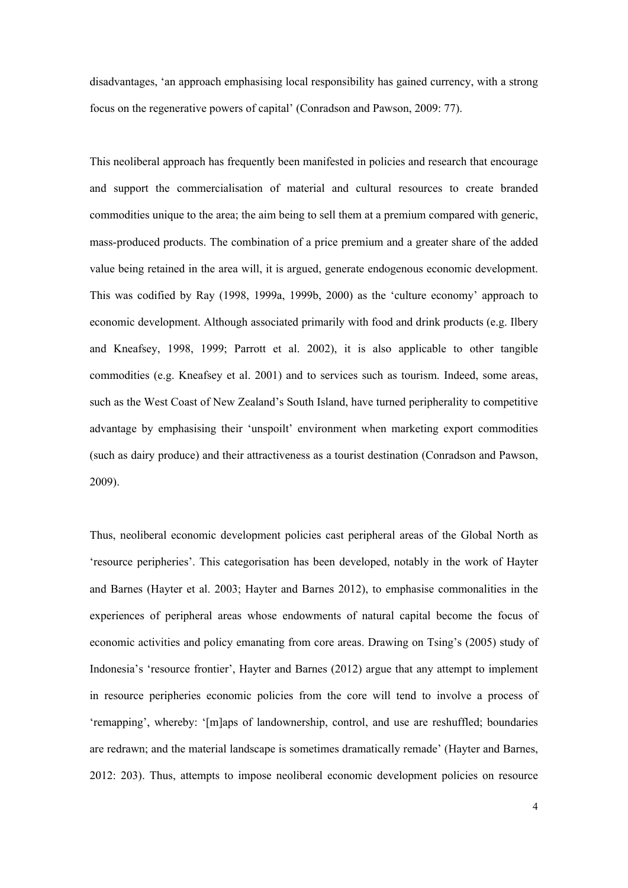disadvantages, 'an approach emphasising local responsibility has gained currency, with a strong focus on the regenerative powers of capital' (Conradson and Pawson, 2009: 77).

This neoliberal approach has frequently been manifested in policies and research that encourage and support the commercialisation of material and cultural resources to create branded commodities unique to the area; the aim being to sell them at a premium compared with generic, mass-produced products. The combination of a price premium and a greater share of the added value being retained in the area will, it is argued, generate endogenous economic development. This was codified by Ray (1998, 1999a, 1999b, 2000) as the 'culture economy' approach to economic development. Although associated primarily with food and drink products (e.g. Ilbery and Kneafsey, 1998, 1999; Parrott et al. 2002), it is also applicable to other tangible commodities (e.g. Kneafsey et al. 2001) and to services such as tourism. Indeed, some areas, such as the West Coast of New Zealand's South Island, have turned peripherality to competitive advantage by emphasising their 'unspoilt' environment when marketing export commodities (such as dairy produce) and their attractiveness as a tourist destination (Conradson and Pawson, 2009).

Thus, neoliberal economic development policies cast peripheral areas of the Global North as 'resource peripheries'. This categorisation has been developed, notably in the work of Hayter and Barnes (Hayter et al. 2003; Hayter and Barnes 2012), to emphasise commonalities in the experiences of peripheral areas whose endowments of natural capital become the focus of economic activities and policy emanating from core areas. Drawing on Tsing's (2005) study of Indonesia's 'resource frontier', Hayter and Barnes (2012) argue that any attempt to implement in resource peripheries economic policies from the core will tend to involve a process of 'remapping', whereby: '[m]aps of landownership, control, and use are reshuffled; boundaries are redrawn; and the material landscape is sometimes dramatically remade' (Hayter and Barnes, 2012: 203). Thus, attempts to impose neoliberal economic development policies on resource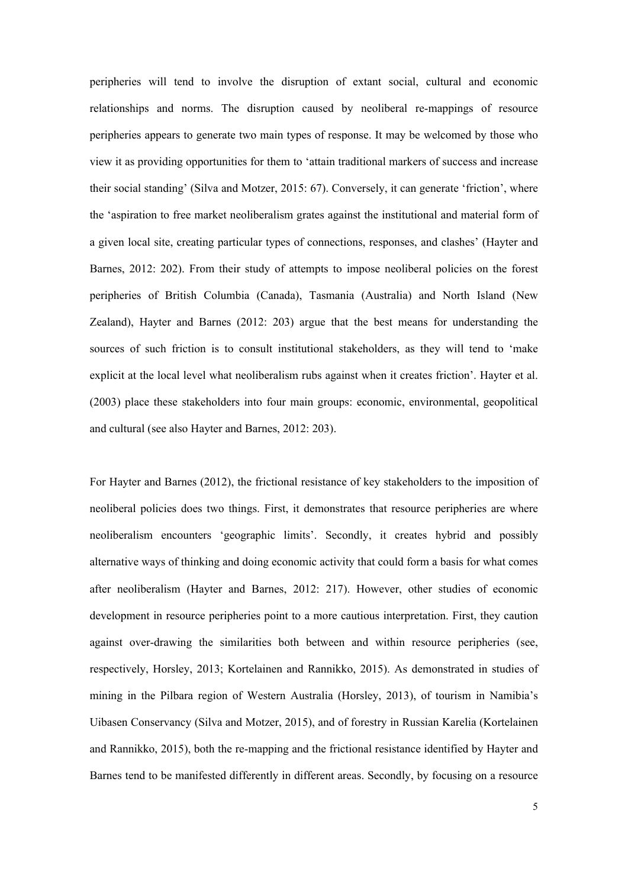peripheries will tend to involve the disruption of extant social, cultural and economic relationships and norms. The disruption caused by neoliberal re-mappings of resource peripheries appears to generate two main types of response. It may be welcomed by those who view it as providing opportunities for them to 'attain traditional markers of success and increase their social standing' (Silva and Motzer, 2015: 67). Conversely, it can generate 'friction', where the 'aspiration to free market neoliberalism grates against the institutional and material form of a given local site, creating particular types of connections, responses, and clashes' (Hayter and Barnes, 2012: 202). From their study of attempts to impose neoliberal policies on the forest peripheries of British Columbia (Canada), Tasmania (Australia) and North Island (New Zealand), Hayter and Barnes (2012: 203) argue that the best means for understanding the sources of such friction is to consult institutional stakeholders, as they will tend to 'make explicit at the local level what neoliberalism rubs against when it creates friction'. Hayter et al. (2003) place these stakeholders into four main groups: economic, environmental, geopolitical and cultural (see also Hayter and Barnes, 2012: 203).

For Hayter and Barnes (2012), the frictional resistance of key stakeholders to the imposition of neoliberal policies does two things. First, it demonstrates that resource peripheries are where neoliberalism encounters 'geographic limits'. Secondly, it creates hybrid and possibly alternative ways of thinking and doing economic activity that could form a basis for what comes after neoliberalism (Hayter and Barnes, 2012: 217). However, other studies of economic development in resource peripheries point to a more cautious interpretation. First, they caution against over-drawing the similarities both between and within resource peripheries (see, respectively, Horsley, 2013; Kortelainen and Rannikko, 2015). As demonstrated in studies of mining in the Pilbara region of Western Australia (Horsley, 2013), of tourism in Namibia's Uibasen Conservancy (Silva and Motzer, 2015), and of forestry in Russian Karelia (Kortelainen and Rannikko, 2015), both the re-mapping and the frictional resistance identified by Hayter and Barnes tend to be manifested differently in different areas. Secondly, by focusing on a resource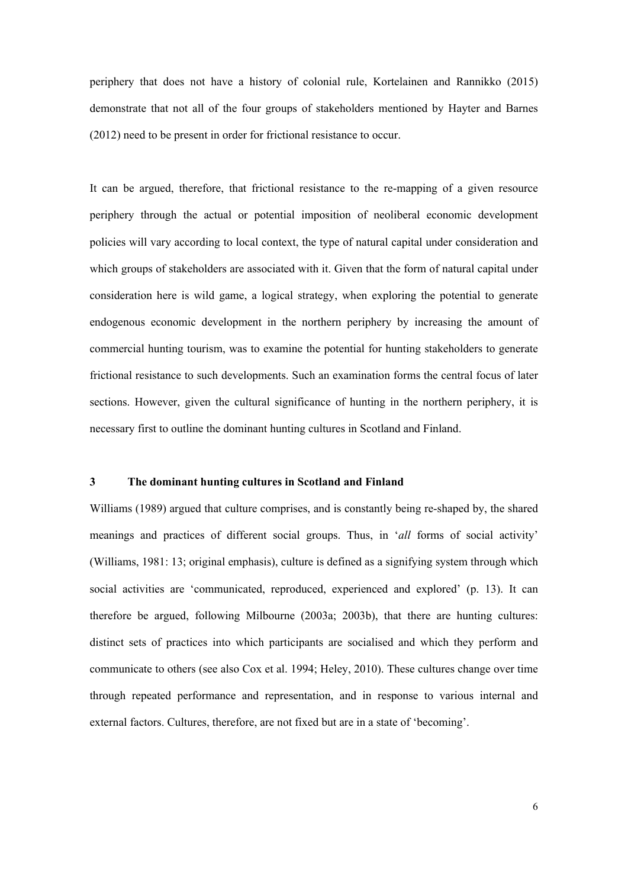periphery that does not have a history of colonial rule, Kortelainen and Rannikko (2015) demonstrate that not all of the four groups of stakeholders mentioned by Hayter and Barnes (2012) need to be present in order for frictional resistance to occur.

It can be argued, therefore, that frictional resistance to the re-mapping of a given resource periphery through the actual or potential imposition of neoliberal economic development policies will vary according to local context, the type of natural capital under consideration and which groups of stakeholders are associated with it. Given that the form of natural capital under consideration here is wild game, a logical strategy, when exploring the potential to generate endogenous economic development in the northern periphery by increasing the amount of commercial hunting tourism, was to examine the potential for hunting stakeholders to generate frictional resistance to such developments. Such an examination forms the central focus of later sections. However, given the cultural significance of hunting in the northern periphery, it is necessary first to outline the dominant hunting cultures in Scotland and Finland.

## **3 The dominant hunting cultures in Scotland and Finland**

Williams (1989) argued that culture comprises, and is constantly being re-shaped by, the shared meanings and practices of different social groups. Thus, in '*all* forms of social activity' (Williams, 1981: 13; original emphasis), culture is defined as a signifying system through which social activities are 'communicated, reproduced, experienced and explored' (p. 13). It can therefore be argued, following Milbourne (2003a; 2003b), that there are hunting cultures: distinct sets of practices into which participants are socialised and which they perform and communicate to others (see also Cox et al. 1994; Heley, 2010). These cultures change over time through repeated performance and representation, and in response to various internal and external factors. Cultures, therefore, are not fixed but are in a state of 'becoming'.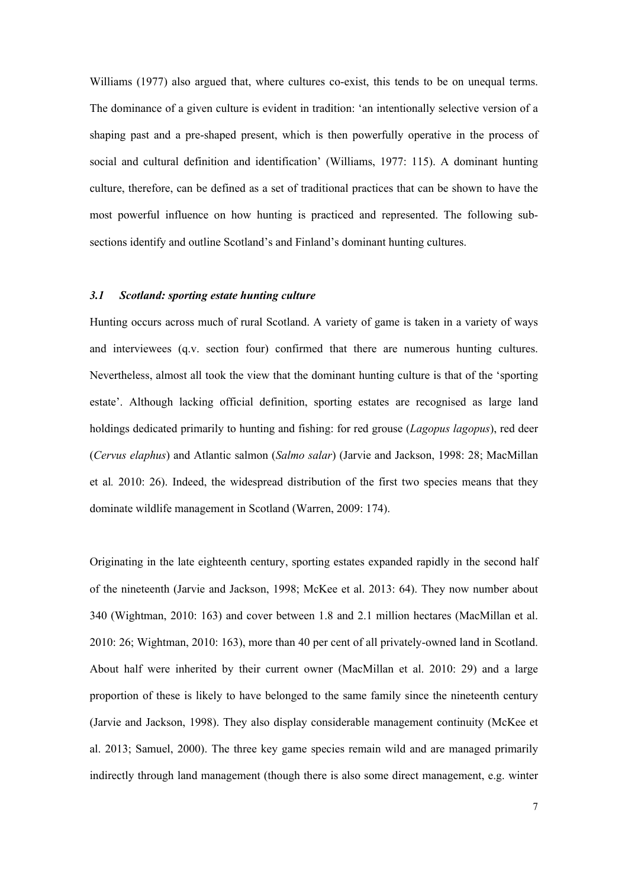Williams (1977) also argued that, where cultures co-exist, this tends to be on unequal terms. The dominance of a given culture is evident in tradition: 'an intentionally selective version of a shaping past and a pre-shaped present, which is then powerfully operative in the process of social and cultural definition and identification' (Williams, 1977: 115). A dominant hunting culture, therefore, can be defined as a set of traditional practices that can be shown to have the most powerful influence on how hunting is practiced and represented. The following subsections identify and outline Scotland's and Finland's dominant hunting cultures.

## *3.1 Scotland: sporting estate hunting culture*

Hunting occurs across much of rural Scotland. A variety of game is taken in a variety of ways and interviewees (q.v. section four) confirmed that there are numerous hunting cultures. Nevertheless, almost all took the view that the dominant hunting culture is that of the 'sporting estate'. Although lacking official definition, sporting estates are recognised as large land holdings dedicated primarily to hunting and fishing: for red grouse (*Lagopus lagopus*), red deer (*Cervus elaphus*) and Atlantic salmon (*Salmo salar*) (Jarvie and Jackson, 1998: 28; MacMillan et al*.* 2010: 26). Indeed, the widespread distribution of the first two species means that they dominate wildlife management in Scotland (Warren, 2009: 174).

Originating in the late eighteenth century, sporting estates expanded rapidly in the second half of the nineteenth (Jarvie and Jackson, 1998; McKee et al. 2013: 64). They now number about 340 (Wightman, 2010: 163) and cover between 1.8 and 2.1 million hectares (MacMillan et al. 2010: 26; Wightman, 2010: 163), more than 40 per cent of all privately-owned land in Scotland. About half were inherited by their current owner (MacMillan et al. 2010: 29) and a large proportion of these is likely to have belonged to the same family since the nineteenth century (Jarvie and Jackson, 1998). They also display considerable management continuity (McKee et al. 2013; Samuel, 2000). The three key game species remain wild and are managed primarily indirectly through land management (though there is also some direct management, e.g. winter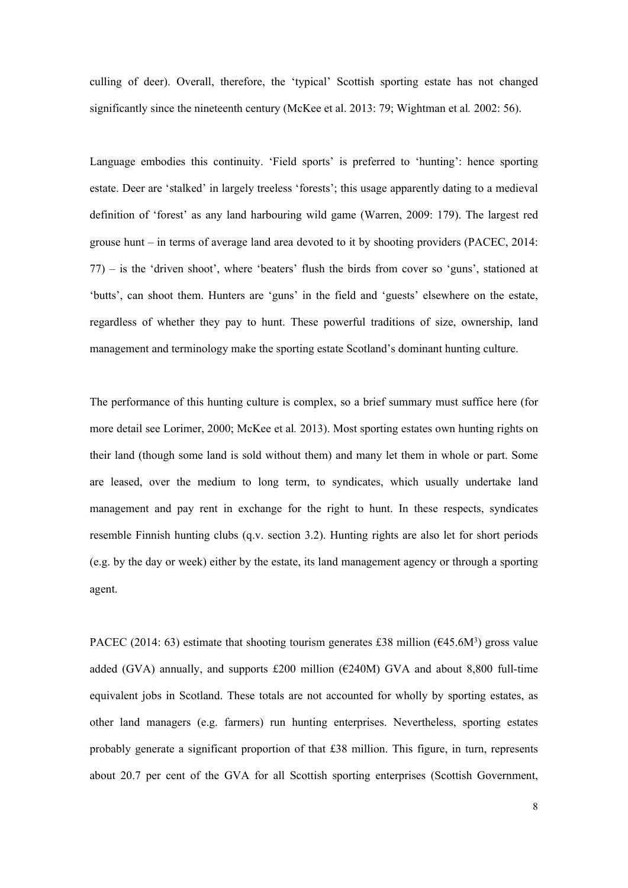culling of deer). Overall, therefore, the 'typical' Scottish sporting estate has not changed significantly since the nineteenth century (McKee et al. 2013: 79; Wightman et al*.* 2002: 56).

Language embodies this continuity. 'Field sports' is preferred to 'hunting': hence sporting estate. Deer are 'stalked' in largely treeless 'forests'; this usage apparently dating to a medieval definition of 'forest' as any land harbouring wild game (Warren, 2009: 179). The largest red grouse hunt – in terms of average land area devoted to it by shooting providers (PACEC, 2014: 77) – is the 'driven shoot', where 'beaters' flush the birds from cover so 'guns', stationed at 'butts', can shoot them. Hunters are 'guns' in the field and 'guests' elsewhere on the estate, regardless of whether they pay to hunt. These powerful traditions of size, ownership, land management and terminology make the sporting estate Scotland's dominant hunting culture.

The performance of this hunting culture is complex, so a brief summary must suffice here (for more detail see Lorimer, 2000; McKee et al*.* 2013). Most sporting estates own hunting rights on their land (though some land is sold without them) and many let them in whole or part. Some are leased, over the medium to long term, to syndicates, which usually undertake land management and pay rent in exchange for the right to hunt. In these respects, syndicates resemble Finnish hunting clubs (q.v. section 3.2). Hunting rights are also let for short periods (e.g. by the day or week) either by the estate, its land management agency or through a sporting agent.

PACEC (2014: 63) estimate that shooting tourism generates £38 million ( $\epsilon$ 45.6M<sup>3</sup>) gross value added (GVA) annually, and supports  $£200$  million ( $€240M$ ) GVA and about 8,800 full-time equivalent jobs in Scotland. These totals are not accounted for wholly by sporting estates, as other land managers (e.g. farmers) run hunting enterprises. Nevertheless, sporting estates probably generate a significant proportion of that £38 million. This figure, in turn, represents about 20.7 per cent of the GVA for all Scottish sporting enterprises (Scottish Government,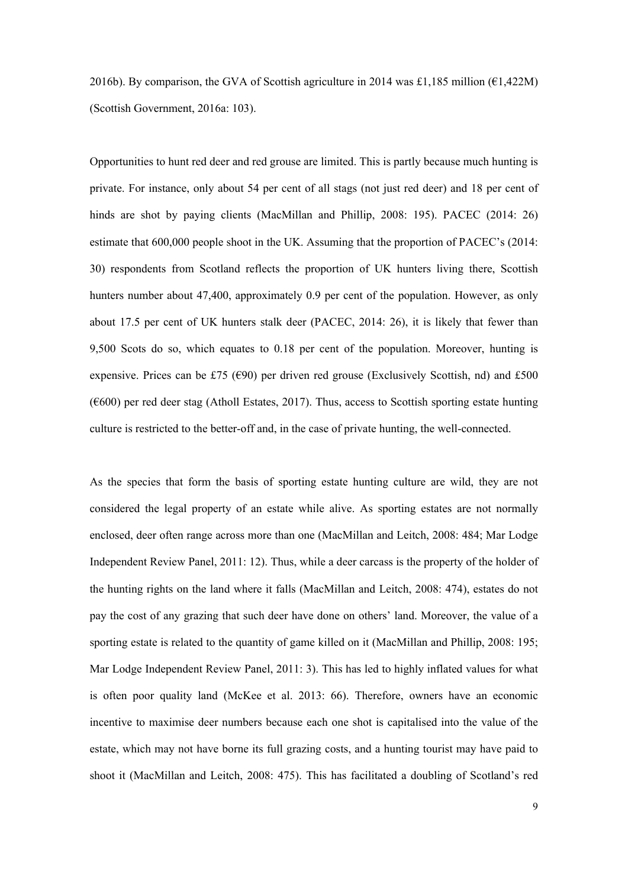2016b). By comparison, the GVA of Scottish agriculture in 2014 was £1,185 million ( $\epsilon$ 1,422M) (Scottish Government, 2016a: 103).

Opportunities to hunt red deer and red grouse are limited. This is partly because much hunting is private. For instance, only about 54 per cent of all stags (not just red deer) and 18 per cent of hinds are shot by paying clients (MacMillan and Phillip, 2008: 195). PACEC (2014: 26) estimate that 600,000 people shoot in the UK. Assuming that the proportion of PACEC's (2014: 30) respondents from Scotland reflects the proportion of UK hunters living there, Scottish hunters number about 47,400, approximately 0.9 per cent of the population. However, as only about 17.5 per cent of UK hunters stalk deer (PACEC, 2014: 26), it is likely that fewer than 9,500 Scots do so, which equates to 0.18 per cent of the population. Moreover, hunting is expensive. Prices can be £75 ( $\epsilon$ 90) per driven red grouse (Exclusively Scottish, nd) and £500 (€600) per red deer stag (Atholl Estates, 2017). Thus, access to Scottish sporting estate hunting culture is restricted to the better-off and, in the case of private hunting, the well-connected.

As the species that form the basis of sporting estate hunting culture are wild, they are not considered the legal property of an estate while alive. As sporting estates are not normally enclosed, deer often range across more than one (MacMillan and Leitch, 2008: 484; Mar Lodge Independent Review Panel, 2011: 12). Thus, while a deer carcass is the property of the holder of the hunting rights on the land where it falls (MacMillan and Leitch, 2008: 474), estates do not pay the cost of any grazing that such deer have done on others' land. Moreover, the value of a sporting estate is related to the quantity of game killed on it (MacMillan and Phillip, 2008: 195; Mar Lodge Independent Review Panel, 2011: 3). This has led to highly inflated values for what is often poor quality land (McKee et al. 2013: 66). Therefore, owners have an economic incentive to maximise deer numbers because each one shot is capitalised into the value of the estate, which may not have borne its full grazing costs, and a hunting tourist may have paid to shoot it (MacMillan and Leitch, 2008: 475). This has facilitated a doubling of Scotland's red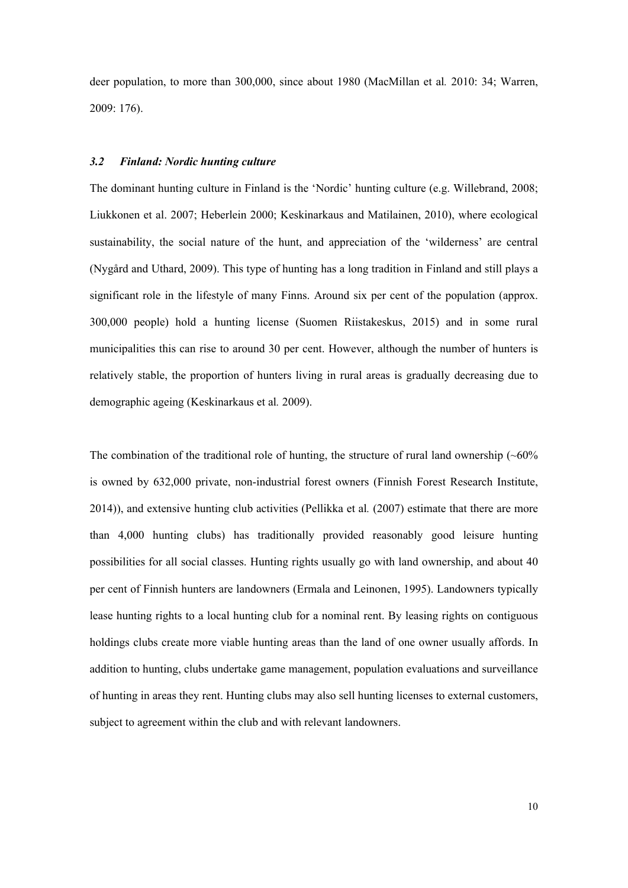deer population, to more than 300,000, since about 1980 (MacMillan et al*.* 2010: 34; Warren, 2009: 176).

#### *3.2 Finland: Nordic hunting culture*

The dominant hunting culture in Finland is the 'Nordic' hunting culture (e.g. Willebrand, 2008; Liukkonen et al. 2007; Heberlein 2000; Keskinarkaus and Matilainen, 2010), where ecological sustainability, the social nature of the hunt, and appreciation of the 'wilderness' are central (Nygård and Uthard, 2009). This type of hunting has a long tradition in Finland and still plays a significant role in the lifestyle of many Finns. Around six per cent of the population (approx. 300,000 people) hold a hunting license (Suomen Riistakeskus, 2015) and in some rural municipalities this can rise to around 30 per cent. However, although the number of hunters is relatively stable, the proportion of hunters living in rural areas is gradually decreasing due to demographic ageing (Keskinarkaus et al*.* 2009).

The combination of the traditional role of hunting, the structure of rural land ownership  $(\sim 60\%$ is owned by 632,000 private, non-industrial forest owners (Finnish Forest Research Institute, 2014)), and extensive hunting club activities (Pellikka et al*.* (2007) estimate that there are more than 4,000 hunting clubs) has traditionally provided reasonably good leisure hunting possibilities for all social classes. Hunting rights usually go with land ownership, and about 40 per cent of Finnish hunters are landowners (Ermala and Leinonen, 1995). Landowners typically lease hunting rights to a local hunting club for a nominal rent. By leasing rights on contiguous holdings clubs create more viable hunting areas than the land of one owner usually affords. In addition to hunting, clubs undertake game management, population evaluations and surveillance of hunting in areas they rent. Hunting clubs may also sell hunting licenses to external customers, subject to agreement within the club and with relevant landowners.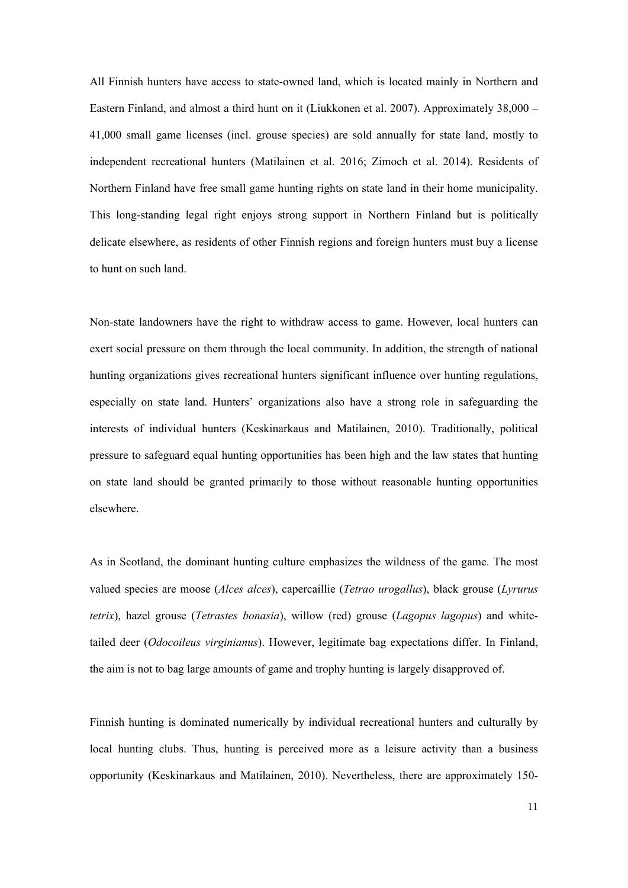All Finnish hunters have access to state-owned land, which is located mainly in Northern and Eastern Finland, and almost a third hunt on it (Liukkonen et al. 2007). Approximately 38,000 – 41,000 small game licenses (incl. grouse species) are sold annually for state land, mostly to independent recreational hunters (Matilainen et al. 2016; Zimoch et al. 2014). Residents of Northern Finland have free small game hunting rights on state land in their home municipality. This long-standing legal right enjoys strong support in Northern Finland but is politically delicate elsewhere, as residents of other Finnish regions and foreign hunters must buy a license to hunt on such land.

Non-state landowners have the right to withdraw access to game. However, local hunters can exert social pressure on them through the local community. In addition, the strength of national hunting organizations gives recreational hunters significant influence over hunting regulations, especially on state land. Hunters' organizations also have a strong role in safeguarding the interests of individual hunters (Keskinarkaus and Matilainen, 2010). Traditionally, political pressure to safeguard equal hunting opportunities has been high and the law states that hunting on state land should be granted primarily to those without reasonable hunting opportunities elsewhere.

As in Scotland, the dominant hunting culture emphasizes the wildness of the game. The most valued species are moose (*Alces alces*), capercaillie (*Tetrao urogallus*), black grouse (*Lyrurus tetrix*), hazel grouse (*Tetrastes bonasia*), willow (red) grouse (*Lagopus lagopus*) and whitetailed deer (*Odocoileus virginianus*). However, legitimate bag expectations differ. In Finland, the aim is not to bag large amounts of game and trophy hunting is largely disapproved of.

Finnish hunting is dominated numerically by individual recreational hunters and culturally by local hunting clubs. Thus, hunting is perceived more as a leisure activity than a business opportunity (Keskinarkaus and Matilainen, 2010). Nevertheless, there are approximately 150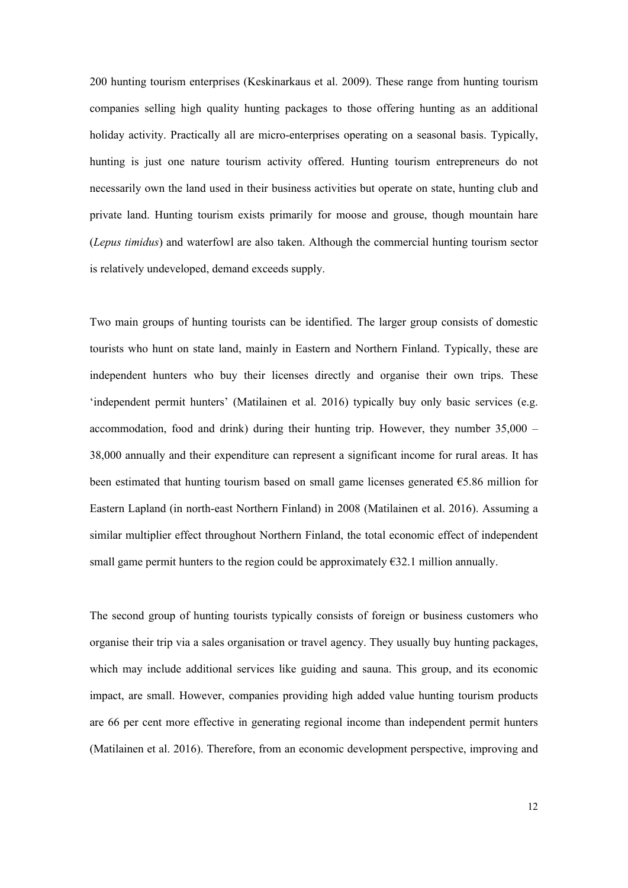200 hunting tourism enterprises (Keskinarkaus et al. 2009). These range from hunting tourism companies selling high quality hunting packages to those offering hunting as an additional holiday activity. Practically all are micro-enterprises operating on a seasonal basis. Typically, hunting is just one nature tourism activity offered. Hunting tourism entrepreneurs do not necessarily own the land used in their business activities but operate on state, hunting club and private land. Hunting tourism exists primarily for moose and grouse, though mountain hare (*Lepus timidus*) and waterfowl are also taken. Although the commercial hunting tourism sector is relatively undeveloped, demand exceeds supply.

Two main groups of hunting tourists can be identified. The larger group consists of domestic tourists who hunt on state land, mainly in Eastern and Northern Finland. Typically, these are independent hunters who buy their licenses directly and organise their own trips. These 'independent permit hunters' (Matilainen et al. 2016) typically buy only basic services (e.g. accommodation, food and drink) during their hunting trip. However, they number 35,000 – 38,000 annually and their expenditure can represent a significant income for rural areas. It has been estimated that hunting tourism based on small game licenses generated  $\epsilon$ 5.86 million for Eastern Lapland (in north-east Northern Finland) in 2008 (Matilainen et al. 2016). Assuming a similar multiplier effect throughout Northern Finland, the total economic effect of independent small game permit hunters to the region could be approximately  $\epsilon$ 32.1 million annually.

The second group of hunting tourists typically consists of foreign or business customers who organise their trip via a sales organisation or travel agency. They usually buy hunting packages, which may include additional services like guiding and sauna. This group, and its economic impact, are small. However, companies providing high added value hunting tourism products are 66 per cent more effective in generating regional income than independent permit hunters (Matilainen et al. 2016). Therefore, from an economic development perspective, improving and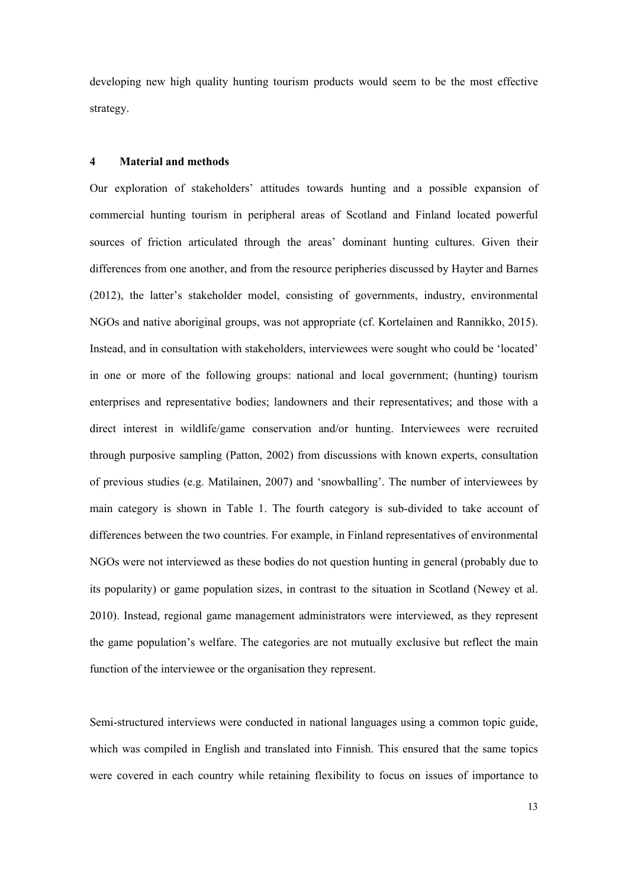developing new high quality hunting tourism products would seem to be the most effective strategy.

#### **4 Material and methods**

Our exploration of stakeholders' attitudes towards hunting and a possible expansion of commercial hunting tourism in peripheral areas of Scotland and Finland located powerful sources of friction articulated through the areas' dominant hunting cultures. Given their differences from one another, and from the resource peripheries discussed by Hayter and Barnes (2012), the latter's stakeholder model, consisting of governments, industry, environmental NGOs and native aboriginal groups, was not appropriate (cf. Kortelainen and Rannikko, 2015). Instead, and in consultation with stakeholders, interviewees were sought who could be 'located' in one or more of the following groups: national and local government; (hunting) tourism enterprises and representative bodies; landowners and their representatives; and those with a direct interest in wildlife/game conservation and/or hunting. Interviewees were recruited through purposive sampling (Patton, 2002) from discussions with known experts, consultation of previous studies (e.g. Matilainen, 2007) and 'snowballing'. The number of interviewees by main category is shown in Table 1. The fourth category is sub-divided to take account of differences between the two countries. For example, in Finland representatives of environmental NGOs were not interviewed as these bodies do not question hunting in general (probably due to its popularity) or game population sizes, in contrast to the situation in Scotland (Newey et al. 2010). Instead, regional game management administrators were interviewed, as they represent the game population's welfare. The categories are not mutually exclusive but reflect the main function of the interviewee or the organisation they represent.

Semi-structured interviews were conducted in national languages using a common topic guide, which was compiled in English and translated into Finnish. This ensured that the same topics were covered in each country while retaining flexibility to focus on issues of importance to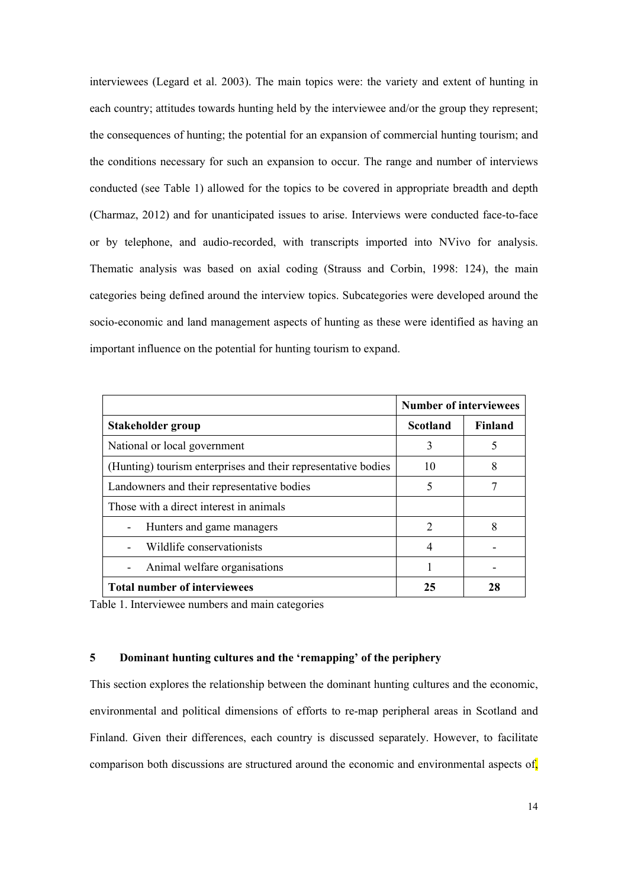interviewees (Legard et al. 2003). The main topics were: the variety and extent of hunting in each country; attitudes towards hunting held by the interviewee and/or the group they represent; the consequences of hunting; the potential for an expansion of commercial hunting tourism; and the conditions necessary for such an expansion to occur. The range and number of interviews conducted (see Table 1) allowed for the topics to be covered in appropriate breadth and depth (Charmaz, 2012) and for unanticipated issues to arise. Interviews were conducted face-to-face or by telephone, and audio-recorded, with transcripts imported into NVivo for analysis. Thematic analysis was based on axial coding (Strauss and Corbin, 1998: 124), the main categories being defined around the interview topics. Subcategories were developed around the socio-economic and land management aspects of hunting as these were identified as having an important influence on the potential for hunting tourism to expand.

|                                                               | <b>Number of interviewees</b> |         |
|---------------------------------------------------------------|-------------------------------|---------|
| Stakeholder group                                             | <b>Scotland</b>               | Finland |
| National or local government                                  | 3                             |         |
| (Hunting) tourism enterprises and their representative bodies | 10                            | 8       |
| Landowners and their representative bodies                    | 5                             |         |
| Those with a direct interest in animals                       |                               |         |
| Hunters and game managers                                     | $\mathcal{D}_{\mathcal{L}}$   |         |
| Wildlife conservationists                                     |                               |         |
| Animal welfare organisations                                  |                               |         |
| <b>Total number of interviewees</b>                           | 25                            |         |

Table 1. Interviewee numbers and main categories

## **5 Dominant hunting cultures and the 'remapping' of the periphery**

This section explores the relationship between the dominant hunting cultures and the economic, environmental and political dimensions of efforts to re-map peripheral areas in Scotland and Finland. Given their differences, each country is discussed separately. However, to facilitate comparison both discussions are structured around the economic and environmental aspects of,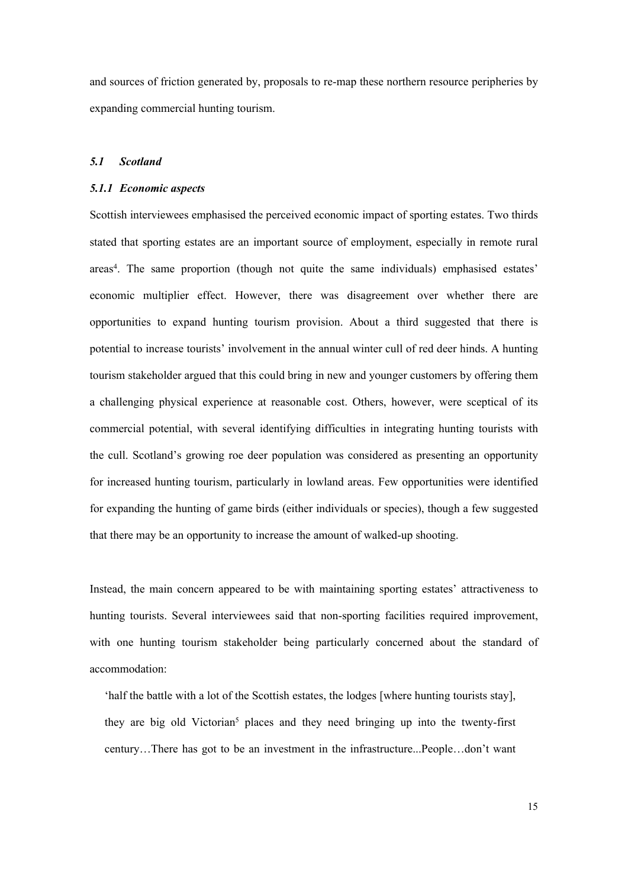and sources of friction generated by, proposals to re-map these northern resource peripheries by expanding commercial hunting tourism.

#### *5.1 Scotland*

#### *5.1.1 Economic aspects*

Scottish interviewees emphasised the perceived economic impact of sporting estates. Two thirds stated that sporting estates are an important source of employment, especially in remote rural areas<sup>4</sup>. The same proportion (though not quite the same individuals) emphasised estates' economic multiplier effect. However, there was disagreement over whether there are opportunities to expand hunting tourism provision. About a third suggested that there is potential to increase tourists' involvement in the annual winter cull of red deer hinds. A hunting tourism stakeholder argued that this could bring in new and younger customers by offering them a challenging physical experience at reasonable cost. Others, however, were sceptical of its commercial potential, with several identifying difficulties in integrating hunting tourists with the cull. Scotland's growing roe deer population was considered as presenting an opportunity for increased hunting tourism, particularly in lowland areas. Few opportunities were identified for expanding the hunting of game birds (either individuals or species), though a few suggested that there may be an opportunity to increase the amount of walked-up shooting.

Instead, the main concern appeared to be with maintaining sporting estates' attractiveness to hunting tourists. Several interviewees said that non-sporting facilities required improvement, with one hunting tourism stakeholder being particularly concerned about the standard of accommodation:

'half the battle with a lot of the Scottish estates, the lodges [where hunting tourists stay], they are big old Victorian<sup>5</sup> places and they need bringing up into the twenty-first century…There has got to be an investment in the infrastructure...People…don't want

15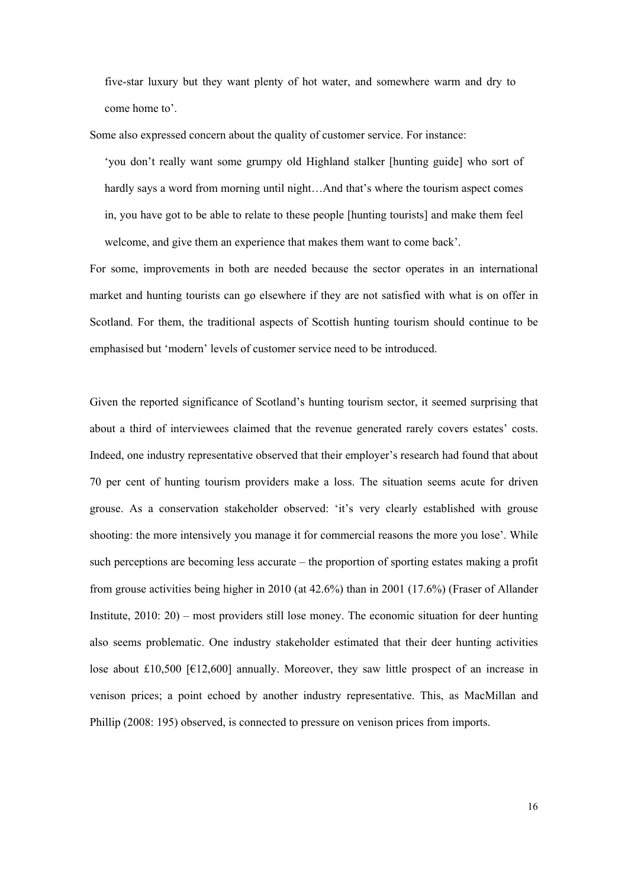five-star luxury but they want plenty of hot water, and somewhere warm and dry to come home to'.

Some also expressed concern about the quality of customer service. For instance:

'you don't really want some grumpy old Highland stalker [hunting guide] who sort of hardly says a word from morning until night…And that's where the tourism aspect comes in, you have got to be able to relate to these people [hunting tourists] and make them feel welcome, and give them an experience that makes them want to come back'.

For some, improvements in both are needed because the sector operates in an international market and hunting tourists can go elsewhere if they are not satisfied with what is on offer in Scotland. For them, the traditional aspects of Scottish hunting tourism should continue to be emphasised but 'modern' levels of customer service need to be introduced.

Given the reported significance of Scotland's hunting tourism sector, it seemed surprising that about a third of interviewees claimed that the revenue generated rarely covers estates' costs. Indeed, one industry representative observed that their employer's research had found that about 70 per cent of hunting tourism providers make a loss. The situation seems acute for driven grouse. As a conservation stakeholder observed: 'it's very clearly established with grouse shooting: the more intensively you manage it for commercial reasons the more you lose'. While such perceptions are becoming less accurate – the proportion of sporting estates making a profit from grouse activities being higher in 2010 (at 42.6%) than in 2001 (17.6%) (Fraser of Allander Institute, 2010: 20) – most providers still lose money. The economic situation for deer hunting also seems problematic. One industry stakeholder estimated that their deer hunting activities lose about £10,500 [ $E12,600$ ] annually. Moreover, they saw little prospect of an increase in venison prices; a point echoed by another industry representative. This, as MacMillan and Phillip (2008: 195) observed, is connected to pressure on venison prices from imports.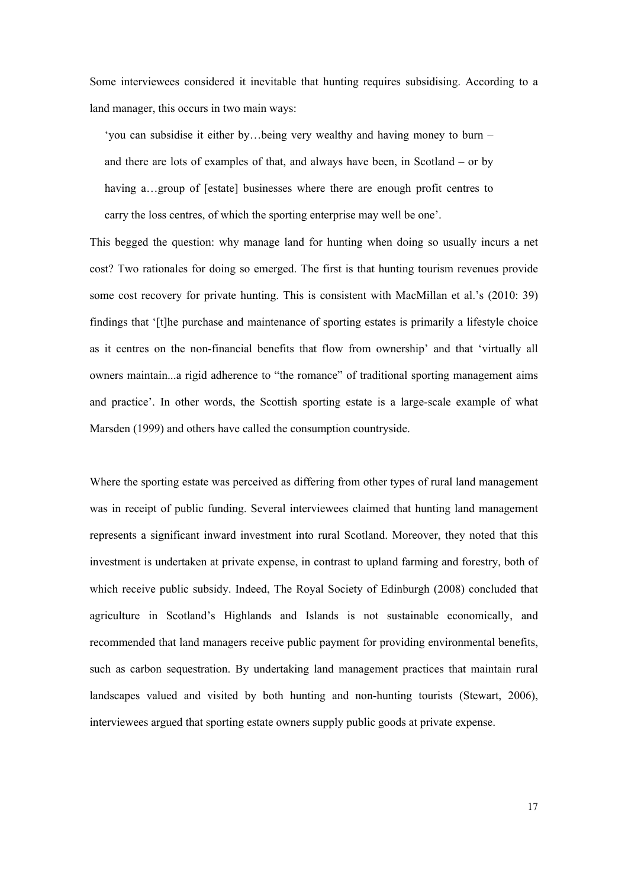Some interviewees considered it inevitable that hunting requires subsidising. According to a land manager, this occurs in two main ways:

'you can subsidise it either by…being very wealthy and having money to burn – and there are lots of examples of that, and always have been, in Scotland – or by having a...group of [estate] businesses where there are enough profit centres to carry the loss centres, of which the sporting enterprise may well be one'.

This begged the question: why manage land for hunting when doing so usually incurs a net cost? Two rationales for doing so emerged. The first is that hunting tourism revenues provide some cost recovery for private hunting. This is consistent with MacMillan et al.'s (2010: 39) findings that '[t]he purchase and maintenance of sporting estates is primarily a lifestyle choice as it centres on the non-financial benefits that flow from ownership' and that 'virtually all owners maintain...a rigid adherence to "the romance" of traditional sporting management aims and practice'. In other words, the Scottish sporting estate is a large-scale example of what Marsden (1999) and others have called the consumption countryside.

Where the sporting estate was perceived as differing from other types of rural land management was in receipt of public funding. Several interviewees claimed that hunting land management represents a significant inward investment into rural Scotland. Moreover, they noted that this investment is undertaken at private expense, in contrast to upland farming and forestry, both of which receive public subsidy. Indeed, The Royal Society of Edinburgh (2008) concluded that agriculture in Scotland's Highlands and Islands is not sustainable economically, and recommended that land managers receive public payment for providing environmental benefits, such as carbon sequestration. By undertaking land management practices that maintain rural landscapes valued and visited by both hunting and non-hunting tourists (Stewart, 2006), interviewees argued that sporting estate owners supply public goods at private expense.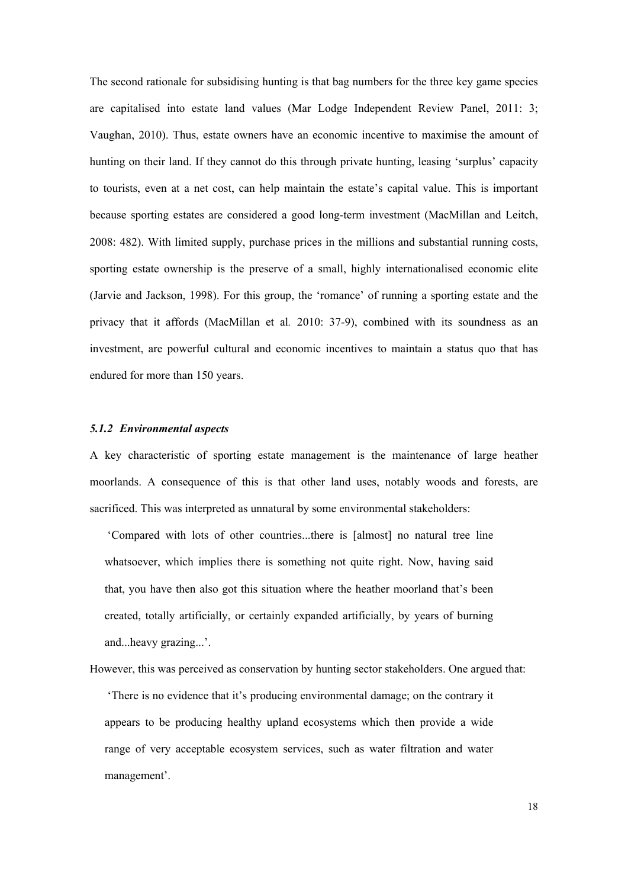The second rationale for subsidising hunting is that bag numbers for the three key game species are capitalised into estate land values (Mar Lodge Independent Review Panel, 2011: 3; Vaughan, 2010). Thus, estate owners have an economic incentive to maximise the amount of hunting on their land. If they cannot do this through private hunting, leasing 'surplus' capacity to tourists, even at a net cost, can help maintain the estate's capital value. This is important because sporting estates are considered a good long-term investment (MacMillan and Leitch, 2008: 482). With limited supply, purchase prices in the millions and substantial running costs, sporting estate ownership is the preserve of a small, highly internationalised economic elite (Jarvie and Jackson, 1998). For this group, the 'romance' of running a sporting estate and the privacy that it affords (MacMillan et al*.* 2010: 37-9), combined with its soundness as an investment, are powerful cultural and economic incentives to maintain a status quo that has endured for more than 150 years.

## *5.1.2 Environmental aspects*

A key characteristic of sporting estate management is the maintenance of large heather moorlands. A consequence of this is that other land uses, notably woods and forests, are sacrificed. This was interpreted as unnatural by some environmental stakeholders:

 'Compared with lots of other countries...there is [almost] no natural tree line whatsoever, which implies there is something not quite right. Now, having said that, you have then also got this situation where the heather moorland that's been created, totally artificially, or certainly expanded artificially, by years of burning and...heavy grazing...'.

However, this was perceived as conservation by hunting sector stakeholders. One argued that: 'There is no evidence that it's producing environmental damage; on the contrary it appears to be producing healthy upland ecosystems which then provide a wide range of very acceptable ecosystem services, such as water filtration and water management'.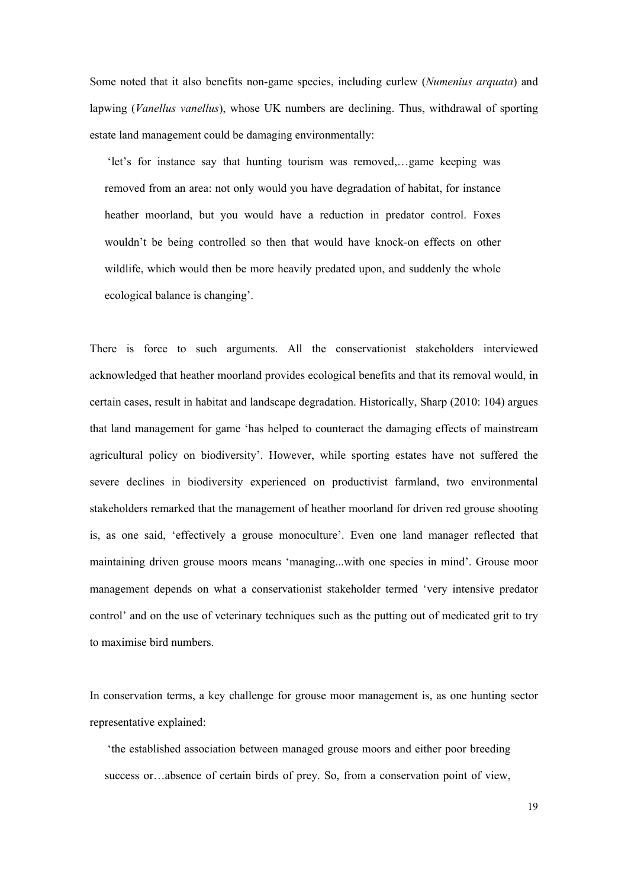Some noted that it also benefits non-game species, including curlew (*Numenius arquata*) and lapwing (*Vanellus vanellus*), whose UK numbers are declining. Thus, withdrawal of sporting estate land management could be damaging environmentally:

 'let's for instance say that hunting tourism was removed,…game keeping was removed from an area: not only would you have degradation of habitat, for instance heather moorland, but you would have a reduction in predator control. Foxes wouldn't be being controlled so then that would have knock-on effects on other wildlife, which would then be more heavily predated upon, and suddenly the whole ecological balance is changing'.

There is force to such arguments. All the conservationist stakeholders interviewed acknowledged that heather moorland provides ecological benefits and that its removal would, in certain cases, result in habitat and landscape degradation. Historically, Sharp (2010: 104) argues that land management for game 'has helped to counteract the damaging effects of mainstream agricultural policy on biodiversity'. However, while sporting estates have not suffered the severe declines in biodiversity experienced on productivist farmland, two environmental stakeholders remarked that the management of heather moorland for driven red grouse shooting is, as one said, 'effectively a grouse monoculture'. Even one land manager reflected that maintaining driven grouse moors means 'managing...with one species in mind'. Grouse moor management depends on what a conservationist stakeholder termed 'very intensive predator control' and on the use of veterinary techniques such as the putting out of medicated grit to try to maximise bird numbers.

In conservation terms, a key challenge for grouse moor management is, as one hunting sector representative explained:

 'the established association between managed grouse moors and either poor breeding success or…absence of certain birds of prey. So, from a conservation point of view,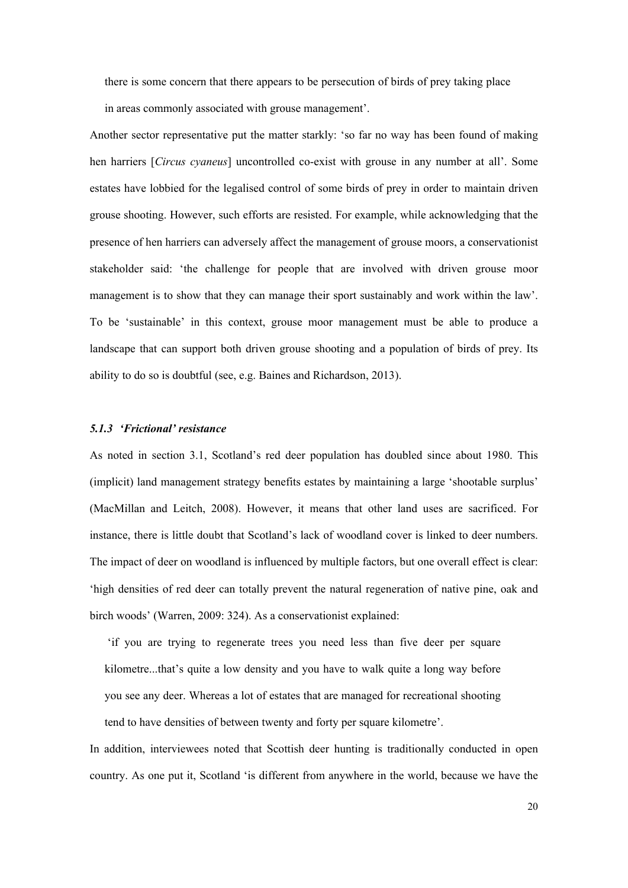there is some concern that there appears to be persecution of birds of prey taking place in areas commonly associated with grouse management'.

Another sector representative put the matter starkly: 'so far no way has been found of making hen harriers [*Circus cyaneus*] uncontrolled co-exist with grouse in any number at all'. Some estates have lobbied for the legalised control of some birds of prey in order to maintain driven grouse shooting. However, such efforts are resisted. For example, while acknowledging that the presence of hen harriers can adversely affect the management of grouse moors, a conservationist stakeholder said: 'the challenge for people that are involved with driven grouse moor management is to show that they can manage their sport sustainably and work within the law'. To be 'sustainable' in this context, grouse moor management must be able to produce a landscape that can support both driven grouse shooting and a population of birds of prey. Its ability to do so is doubtful (see, e.g. Baines and Richardson, 2013).

### *5.1.3 'Frictional' resistance*

As noted in section 3.1, Scotland's red deer population has doubled since about 1980. This (implicit) land management strategy benefits estates by maintaining a large 'shootable surplus' (MacMillan and Leitch, 2008). However, it means that other land uses are sacrificed. For instance, there is little doubt that Scotland's lack of woodland cover is linked to deer numbers. The impact of deer on woodland is influenced by multiple factors, but one overall effect is clear: 'high densities of red deer can totally prevent the natural regeneration of native pine, oak and birch woods' (Warren, 2009: 324). As a conservationist explained:

 'if you are trying to regenerate trees you need less than five deer per square kilometre...that's quite a low density and you have to walk quite a long way before you see any deer. Whereas a lot of estates that are managed for recreational shooting tend to have densities of between twenty and forty per square kilometre'.

In addition, interviewees noted that Scottish deer hunting is traditionally conducted in open country. As one put it, Scotland 'is different from anywhere in the world, because we have the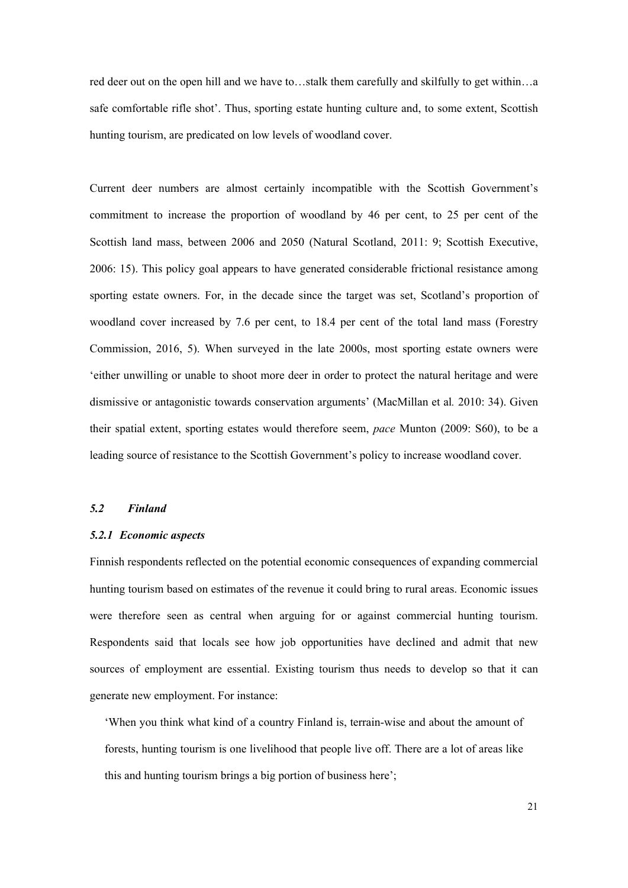red deer out on the open hill and we have to…stalk them carefully and skilfully to get within…a safe comfortable rifle shot'. Thus, sporting estate hunting culture and, to some extent, Scottish hunting tourism, are predicated on low levels of woodland cover.

Current deer numbers are almost certainly incompatible with the Scottish Government's commitment to increase the proportion of woodland by 46 per cent, to 25 per cent of the Scottish land mass, between 2006 and 2050 (Natural Scotland, 2011: 9; Scottish Executive, 2006: 15). This policy goal appears to have generated considerable frictional resistance among sporting estate owners. For, in the decade since the target was set, Scotland's proportion of woodland cover increased by 7.6 per cent, to 18.4 per cent of the total land mass (Forestry Commission, 2016, 5). When surveyed in the late 2000s, most sporting estate owners were 'either unwilling or unable to shoot more deer in order to protect the natural heritage and were dismissive or antagonistic towards conservation arguments' (MacMillan et al*.* 2010: 34). Given their spatial extent, sporting estates would therefore seem, *pace* Munton (2009: S60), to be a leading source of resistance to the Scottish Government's policy to increase woodland cover.

## *5.2 Finland*

### *5.2.1 Economic aspects*

Finnish respondents reflected on the potential economic consequences of expanding commercial hunting tourism based on estimates of the revenue it could bring to rural areas. Economic issues were therefore seen as central when arguing for or against commercial hunting tourism. Respondents said that locals see how job opportunities have declined and admit that new sources of employment are essential. Existing tourism thus needs to develop so that it can generate new employment. For instance:

'When you think what kind of a country Finland is, terrain-wise and about the amount of forests, hunting tourism is one livelihood that people live off. There are a lot of areas like this and hunting tourism brings a big portion of business here';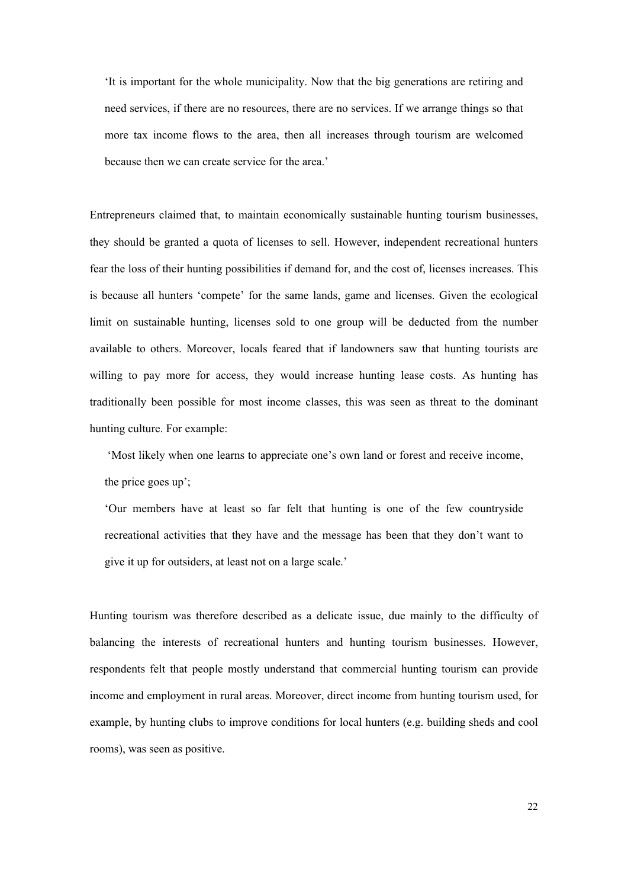'It is important for the whole municipality. Now that the big generations are retiring and need services, if there are no resources, there are no services. If we arrange things so that more tax income flows to the area, then all increases through tourism are welcomed because then we can create service for the area.'

Entrepreneurs claimed that, to maintain economically sustainable hunting tourism businesses, they should be granted a quota of licenses to sell. However, independent recreational hunters fear the loss of their hunting possibilities if demand for, and the cost of, licenses increases. This is because all hunters 'compete' for the same lands, game and licenses. Given the ecological limit on sustainable hunting, licenses sold to one group will be deducted from the number available to others. Moreover, locals feared that if landowners saw that hunting tourists are willing to pay more for access, they would increase hunting lease costs. As hunting has traditionally been possible for most income classes, this was seen as threat to the dominant hunting culture. For example:

 'Most likely when one learns to appreciate one's own land or forest and receive income, the price goes up';

'Our members have at least so far felt that hunting is one of the few countryside recreational activities that they have and the message has been that they don't want to give it up for outsiders, at least not on a large scale.'

Hunting tourism was therefore described as a delicate issue, due mainly to the difficulty of balancing the interests of recreational hunters and hunting tourism businesses. However, respondents felt that people mostly understand that commercial hunting tourism can provide income and employment in rural areas. Moreover, direct income from hunting tourism used, for example, by hunting clubs to improve conditions for local hunters (e.g. building sheds and cool rooms), was seen as positive.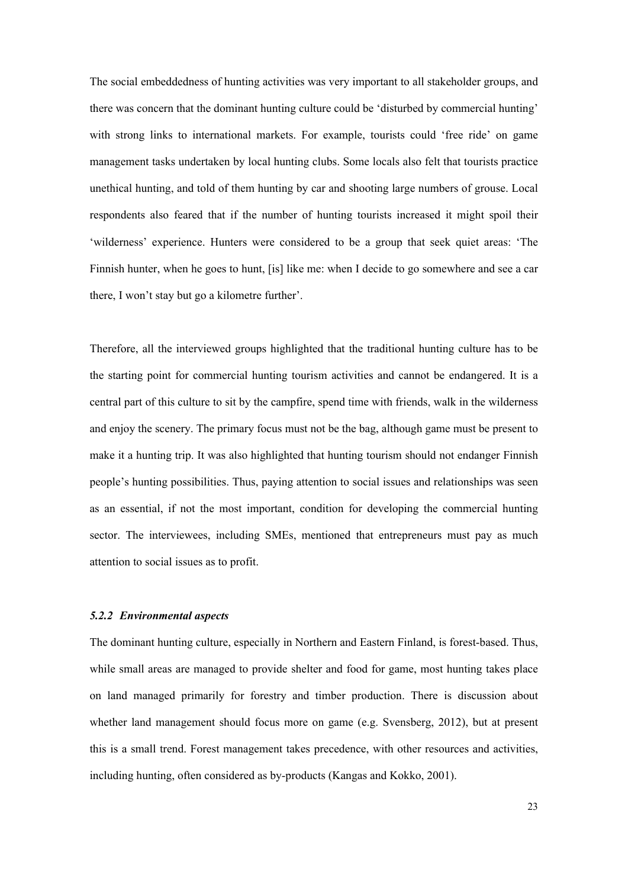The social embeddedness of hunting activities was very important to all stakeholder groups, and there was concern that the dominant hunting culture could be 'disturbed by commercial hunting' with strong links to international markets. For example, tourists could 'free ride' on game management tasks undertaken by local hunting clubs. Some locals also felt that tourists practice unethical hunting, and told of them hunting by car and shooting large numbers of grouse. Local respondents also feared that if the number of hunting tourists increased it might spoil their 'wilderness' experience. Hunters were considered to be a group that seek quiet areas: 'The Finnish hunter, when he goes to hunt, [is] like me: when I decide to go somewhere and see a car there, I won't stay but go a kilometre further'.

Therefore, all the interviewed groups highlighted that the traditional hunting culture has to be the starting point for commercial hunting tourism activities and cannot be endangered. It is a central part of this culture to sit by the campfire, spend time with friends, walk in the wilderness and enjoy the scenery. The primary focus must not be the bag, although game must be present to make it a hunting trip. It was also highlighted that hunting tourism should not endanger Finnish people's hunting possibilities. Thus, paying attention to social issues and relationships was seen as an essential, if not the most important, condition for developing the commercial hunting sector. The interviewees, including SMEs, mentioned that entrepreneurs must pay as much attention to social issues as to profit.

## *5.2.2 Environmental aspects*

The dominant hunting culture, especially in Northern and Eastern Finland, is forest-based. Thus, while small areas are managed to provide shelter and food for game, most hunting takes place on land managed primarily for forestry and timber production. There is discussion about whether land management should focus more on game (e.g. Svensberg, 2012), but at present this is a small trend. Forest management takes precedence, with other resources and activities, including hunting, often considered as by-products (Kangas and Kokko, 2001).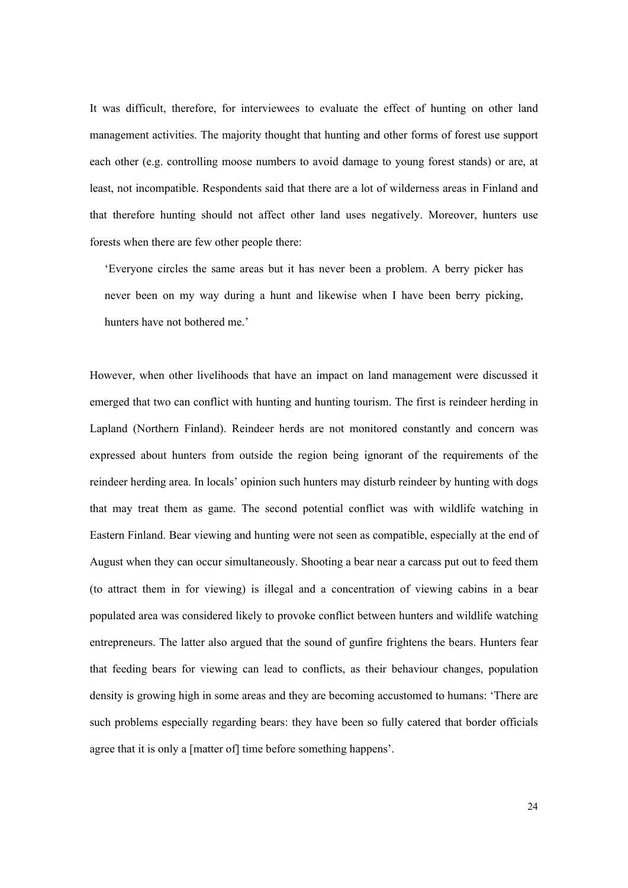It was difficult, therefore, for interviewees to evaluate the effect of hunting on other land management activities. The majority thought that hunting and other forms of forest use support each other (e.g. controlling moose numbers to avoid damage to young forest stands) or are, at least, not incompatible. Respondents said that there are a lot of wilderness areas in Finland and that therefore hunting should not affect other land uses negatively. Moreover, hunters use forests when there are few other people there:

'Everyone circles the same areas but it has never been a problem. A berry picker has never been on my way during a hunt and likewise when I have been berry picking, hunters have not bothered me.'

However, when other livelihoods that have an impact on land management were discussed it emerged that two can conflict with hunting and hunting tourism. The first is reindeer herding in Lapland (Northern Finland). Reindeer herds are not monitored constantly and concern was expressed about hunters from outside the region being ignorant of the requirements of the reindeer herding area. In locals' opinion such hunters may disturb reindeer by hunting with dogs that may treat them as game. The second potential conflict was with wildlife watching in Eastern Finland. Bear viewing and hunting were not seen as compatible, especially at the end of August when they can occur simultaneously. Shooting a bear near a carcass put out to feed them (to attract them in for viewing) is illegal and a concentration of viewing cabins in a bear populated area was considered likely to provoke conflict between hunters and wildlife watching entrepreneurs. The latter also argued that the sound of gunfire frightens the bears. Hunters fear that feeding bears for viewing can lead to conflicts, as their behaviour changes, population density is growing high in some areas and they are becoming accustomed to humans: 'There are such problems especially regarding bears: they have been so fully catered that border officials agree that it is only a [matter of] time before something happens'.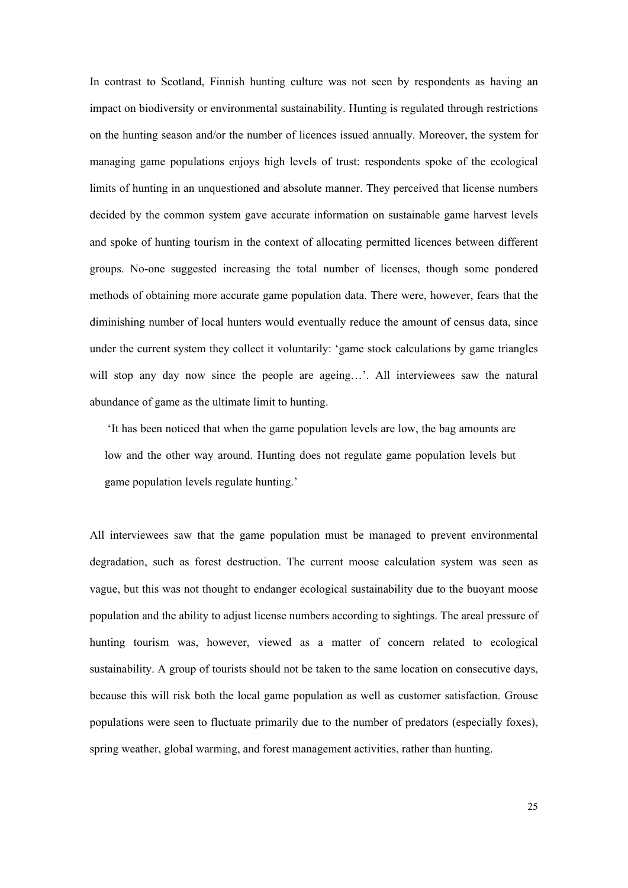In contrast to Scotland, Finnish hunting culture was not seen by respondents as having an impact on biodiversity or environmental sustainability. Hunting is regulated through restrictions on the hunting season and/or the number of licences issued annually. Moreover, the system for managing game populations enjoys high levels of trust: respondents spoke of the ecological limits of hunting in an unquestioned and absolute manner. They perceived that license numbers decided by the common system gave accurate information on sustainable game harvest levels and spoke of hunting tourism in the context of allocating permitted licences between different groups. No-one suggested increasing the total number of licenses, though some pondered methods of obtaining more accurate game population data. There were, however, fears that the diminishing number of local hunters would eventually reduce the amount of census data, since under the current system they collect it voluntarily: 'game stock calculations by game triangles will stop any day now since the people are ageing...'. All interviewees saw the natural abundance of game as the ultimate limit to hunting.

 'It has been noticed that when the game population levels are low, the bag amounts are low and the other way around. Hunting does not regulate game population levels but game population levels regulate hunting.'

All interviewees saw that the game population must be managed to prevent environmental degradation, such as forest destruction. The current moose calculation system was seen as vague, but this was not thought to endanger ecological sustainability due to the buoyant moose population and the ability to adjust license numbers according to sightings. The areal pressure of hunting tourism was, however, viewed as a matter of concern related to ecological sustainability. A group of tourists should not be taken to the same location on consecutive days, because this will risk both the local game population as well as customer satisfaction. Grouse populations were seen to fluctuate primarily due to the number of predators (especially foxes), spring weather, global warming, and forest management activities, rather than hunting.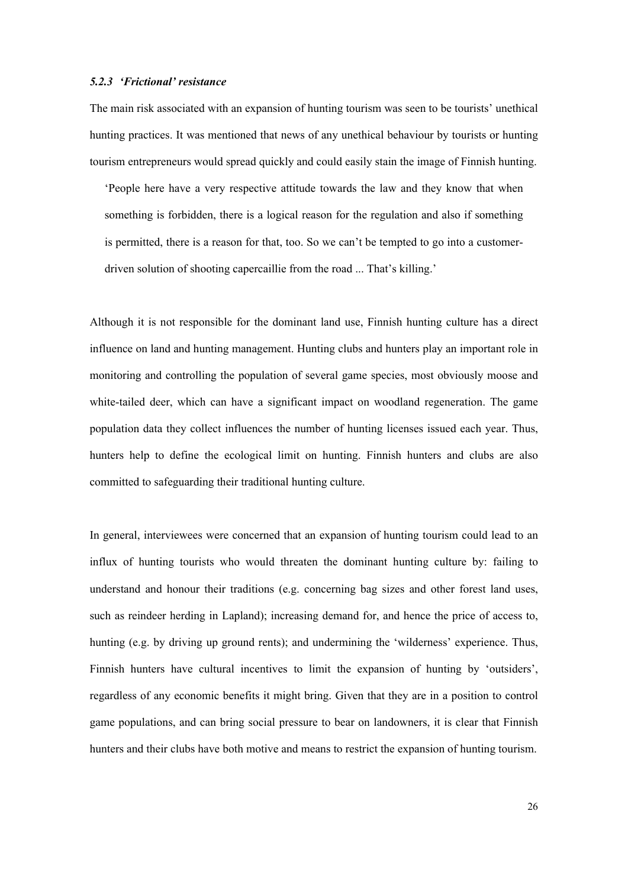## *5.2.3 'Frictional' resistance*

The main risk associated with an expansion of hunting tourism was seen to be tourists' unethical hunting practices. It was mentioned that news of any unethical behaviour by tourists or hunting tourism entrepreneurs would spread quickly and could easily stain the image of Finnish hunting.

'People here have a very respective attitude towards the law and they know that when something is forbidden, there is a logical reason for the regulation and also if something is permitted, there is a reason for that, too. So we can't be tempted to go into a customerdriven solution of shooting capercaillie from the road ... That's killing.'

Although it is not responsible for the dominant land use, Finnish hunting culture has a direct influence on land and hunting management. Hunting clubs and hunters play an important role in monitoring and controlling the population of several game species, most obviously moose and white-tailed deer, which can have a significant impact on woodland regeneration. The game population data they collect influences the number of hunting licenses issued each year. Thus, hunters help to define the ecological limit on hunting. Finnish hunters and clubs are also committed to safeguarding their traditional hunting culture.

In general, interviewees were concerned that an expansion of hunting tourism could lead to an influx of hunting tourists who would threaten the dominant hunting culture by: failing to understand and honour their traditions (e.g. concerning bag sizes and other forest land uses, such as reindeer herding in Lapland); increasing demand for, and hence the price of access to, hunting (e.g. by driving up ground rents); and undermining the 'wilderness' experience. Thus, Finnish hunters have cultural incentives to limit the expansion of hunting by 'outsiders', regardless of any economic benefits it might bring. Given that they are in a position to control game populations, and can bring social pressure to bear on landowners, it is clear that Finnish hunters and their clubs have both motive and means to restrict the expansion of hunting tourism.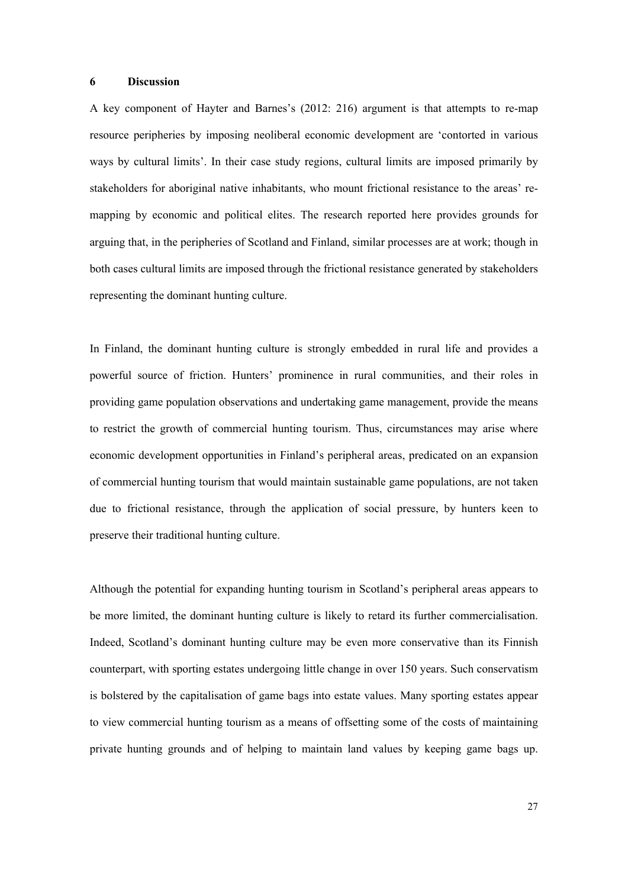## **6 Discussion**

A key component of Hayter and Barnes's (2012: 216) argument is that attempts to re-map resource peripheries by imposing neoliberal economic development are 'contorted in various ways by cultural limits'. In their case study regions, cultural limits are imposed primarily by stakeholders for aboriginal native inhabitants, who mount frictional resistance to the areas' remapping by economic and political elites. The research reported here provides grounds for arguing that, in the peripheries of Scotland and Finland, similar processes are at work; though in both cases cultural limits are imposed through the frictional resistance generated by stakeholders representing the dominant hunting culture.

In Finland, the dominant hunting culture is strongly embedded in rural life and provides a powerful source of friction. Hunters' prominence in rural communities, and their roles in providing game population observations and undertaking game management, provide the means to restrict the growth of commercial hunting tourism. Thus, circumstances may arise where economic development opportunities in Finland's peripheral areas, predicated on an expansion of commercial hunting tourism that would maintain sustainable game populations, are not taken due to frictional resistance, through the application of social pressure, by hunters keen to preserve their traditional hunting culture.

Although the potential for expanding hunting tourism in Scotland's peripheral areas appears to be more limited, the dominant hunting culture is likely to retard its further commercialisation. Indeed, Scotland's dominant hunting culture may be even more conservative than its Finnish counterpart, with sporting estates undergoing little change in over 150 years. Such conservatism is bolstered by the capitalisation of game bags into estate values. Many sporting estates appear to view commercial hunting tourism as a means of offsetting some of the costs of maintaining private hunting grounds and of helping to maintain land values by keeping game bags up.

27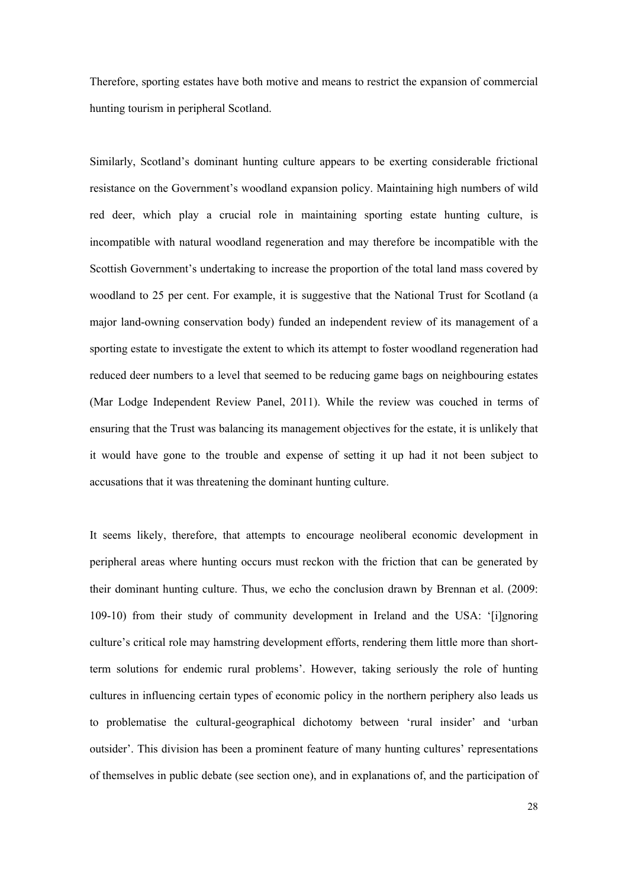Therefore, sporting estates have both motive and means to restrict the expansion of commercial hunting tourism in peripheral Scotland.

Similarly, Scotland's dominant hunting culture appears to be exerting considerable frictional resistance on the Government's woodland expansion policy. Maintaining high numbers of wild red deer, which play a crucial role in maintaining sporting estate hunting culture, is incompatible with natural woodland regeneration and may therefore be incompatible with the Scottish Government's undertaking to increase the proportion of the total land mass covered by woodland to 25 per cent. For example, it is suggestive that the National Trust for Scotland (a major land-owning conservation body) funded an independent review of its management of a sporting estate to investigate the extent to which its attempt to foster woodland regeneration had reduced deer numbers to a level that seemed to be reducing game bags on neighbouring estates (Mar Lodge Independent Review Panel, 2011). While the review was couched in terms of ensuring that the Trust was balancing its management objectives for the estate, it is unlikely that it would have gone to the trouble and expense of setting it up had it not been subject to accusations that it was threatening the dominant hunting culture.

It seems likely, therefore, that attempts to encourage neoliberal economic development in peripheral areas where hunting occurs must reckon with the friction that can be generated by their dominant hunting culture. Thus, we echo the conclusion drawn by Brennan et al. (2009: 109-10) from their study of community development in Ireland and the USA: '[i]gnoring culture's critical role may hamstring development efforts, rendering them little more than shortterm solutions for endemic rural problems'. However, taking seriously the role of hunting cultures in influencing certain types of economic policy in the northern periphery also leads us to problematise the cultural-geographical dichotomy between 'rural insider' and 'urban outsider'. This division has been a prominent feature of many hunting cultures' representations of themselves in public debate (see section one), and in explanations of, and the participation of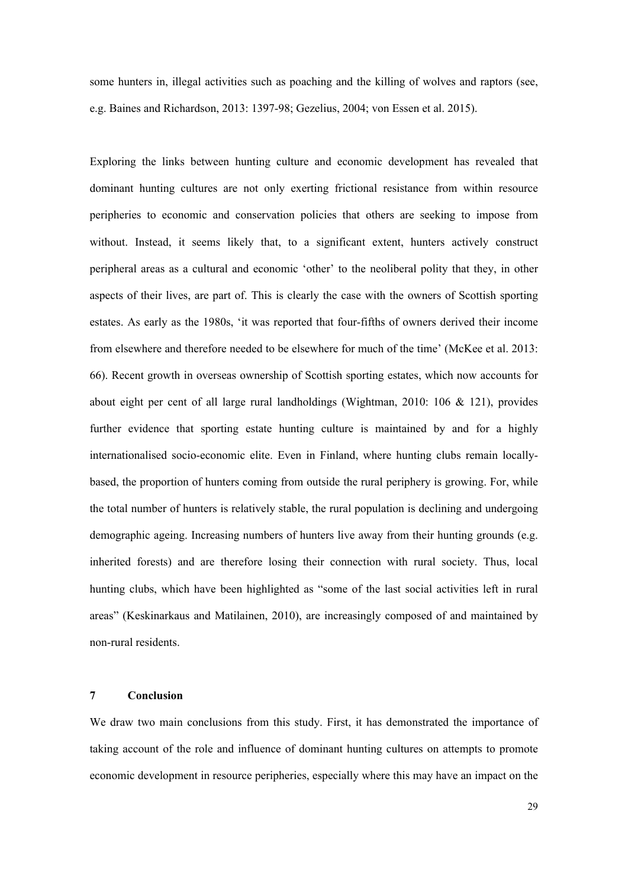some hunters in, illegal activities such as poaching and the killing of wolves and raptors (see, e.g. Baines and Richardson, 2013: 1397-98; Gezelius, 2004; von Essen et al. 2015).

Exploring the links between hunting culture and economic development has revealed that dominant hunting cultures are not only exerting frictional resistance from within resource peripheries to economic and conservation policies that others are seeking to impose from without. Instead, it seems likely that, to a significant extent, hunters actively construct peripheral areas as a cultural and economic 'other' to the neoliberal polity that they, in other aspects of their lives, are part of. This is clearly the case with the owners of Scottish sporting estates. As early as the 1980s, 'it was reported that four-fifths of owners derived their income from elsewhere and therefore needed to be elsewhere for much of the time' (McKee et al. 2013: 66). Recent growth in overseas ownership of Scottish sporting estates, which now accounts for about eight per cent of all large rural landholdings (Wightman, 2010: 106  $&$  121), provides further evidence that sporting estate hunting culture is maintained by and for a highly internationalised socio-economic elite. Even in Finland, where hunting clubs remain locallybased, the proportion of hunters coming from outside the rural periphery is growing. For, while the total number of hunters is relatively stable, the rural population is declining and undergoing demographic ageing. Increasing numbers of hunters live away from their hunting grounds (e.g. inherited forests) and are therefore losing their connection with rural society. Thus, local hunting clubs, which have been highlighted as "some of the last social activities left in rural areas" (Keskinarkaus and Matilainen, 2010), are increasingly composed of and maintained by non-rural residents.

#### **7 Conclusion**

We draw two main conclusions from this study. First, it has demonstrated the importance of taking account of the role and influence of dominant hunting cultures on attempts to promote economic development in resource peripheries, especially where this may have an impact on the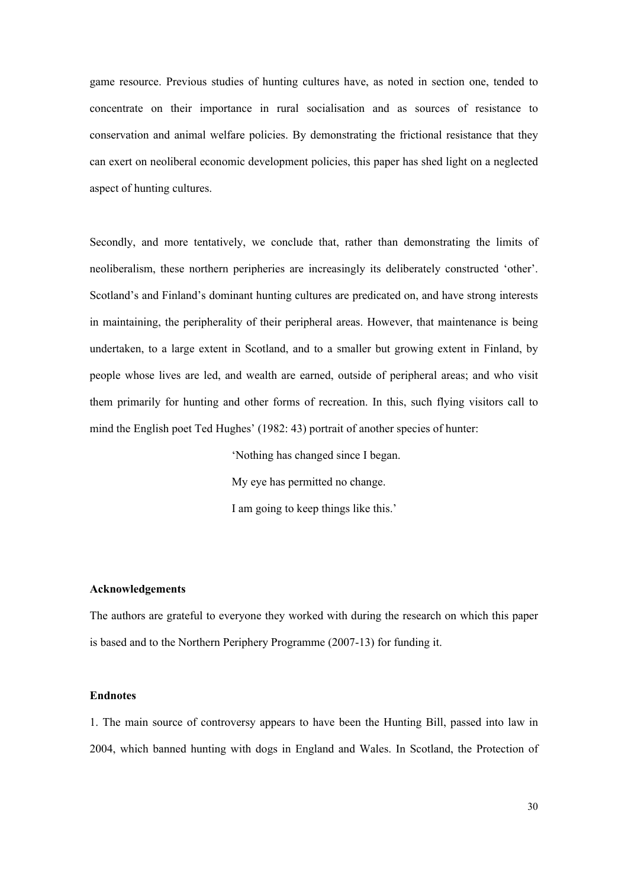game resource. Previous studies of hunting cultures have, as noted in section one, tended to concentrate on their importance in rural socialisation and as sources of resistance to conservation and animal welfare policies. By demonstrating the frictional resistance that they can exert on neoliberal economic development policies, this paper has shed light on a neglected aspect of hunting cultures.

Secondly, and more tentatively, we conclude that, rather than demonstrating the limits of neoliberalism, these northern peripheries are increasingly its deliberately constructed 'other'. Scotland's and Finland's dominant hunting cultures are predicated on, and have strong interests in maintaining, the peripherality of their peripheral areas. However, that maintenance is being undertaken, to a large extent in Scotland, and to a smaller but growing extent in Finland, by people whose lives are led, and wealth are earned, outside of peripheral areas; and who visit them primarily for hunting and other forms of recreation. In this, such flying visitors call to mind the English poet Ted Hughes' (1982: 43) portrait of another species of hunter:

> 'Nothing has changed since I began. My eye has permitted no change. I am going to keep things like this.'

#### **Acknowledgements**

The authors are grateful to everyone they worked with during the research on which this paper is based and to the Northern Periphery Programme (2007-13) for funding it.

#### **Endnotes**

1. The main source of controversy appears to have been the Hunting Bill, passed into law in 2004, which banned hunting with dogs in England and Wales. In Scotland, the Protection of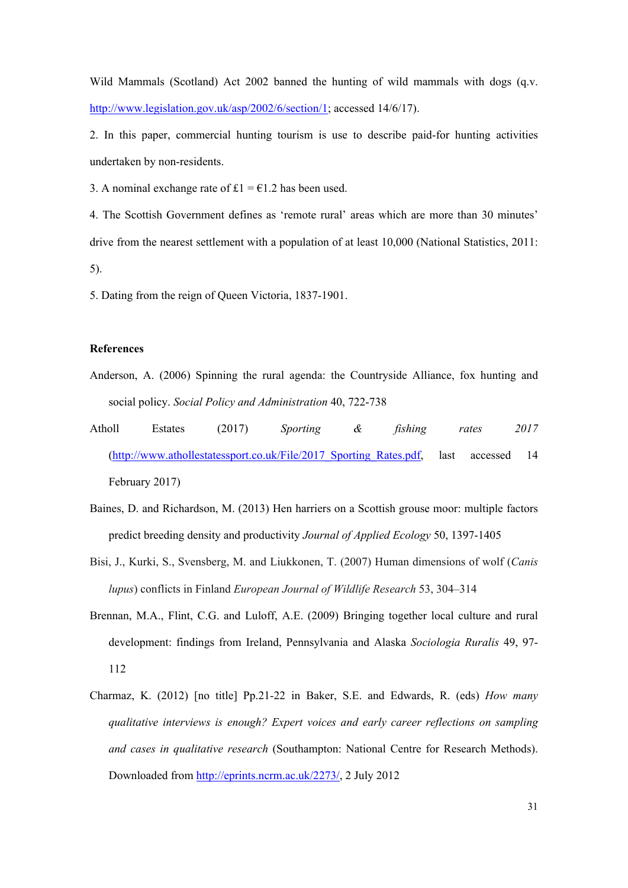Wild Mammals (Scotland) Act 2002 banned the hunting of wild mammals with dogs (q.v. [http://www.legislation.gov.uk/asp/2002/6/section/1;](http://www.legislation.gov.uk/asp/2002/6/section/1) accessed 14/6/17).

2. In this paper, commercial hunting tourism is use to describe paid-for hunting activities undertaken by non-residents.

3. A nominal exchange rate of £1 =  $\epsilon$ 1.2 has been used.

4. The Scottish Government defines as 'remote rural' areas which are more than 30 minutes' drive from the nearest settlement with a population of at least 10,000 (National Statistics, 2011: 5).

5. Dating from the reign of Queen Victoria, 1837-1901.

#### **References**

- Anderson, A. (2006) Spinning the rural agenda: the Countryside Alliance, fox hunting and social policy. *Social Policy and Administration* 40, 722-738
- Atholl Estates (2017) *Sporting & fishing rates 2017* ([http://www.athollestatessport.co.uk/File/2017\\_Sporting\\_Rates.pdf,](http://www.athollestatessport.co.uk/File/2017_Sporting_Rates.pdf) last accessed 14 February 2017)
- Baines, D. and Richardson, M. (2013) Hen harriers on a Scottish grouse moor: multiple factors predict breeding density and productivity *Journal of Applied Ecology* 50, 1397-1405
- Bisi, J., Kurki, S., Svensberg, M. and Liukkonen, T. (2007) Human dimensions of wolf (*Canis lupus*) conflicts in Finland *European Journal of Wildlife Research* 53, 304–314
- Brennan, M.A., Flint, C.G. and Luloff, A.E. (2009) Bringing together local culture and rural development: findings from Ireland, Pennsylvania and Alaska *Sociologia Ruralis* 49, 97- 112
- Charmaz, K. (2012) [no title] Pp.21-22 in Baker, S.E. and Edwards, R. (eds) *How many qualitative interviews is enough? Expert voices and early career reflections on sampling and cases in qualitative research* (Southampton: National Centre for Research Methods). Downloaded from<http://eprints.ncrm.ac.uk/2273/>, 2 July 2012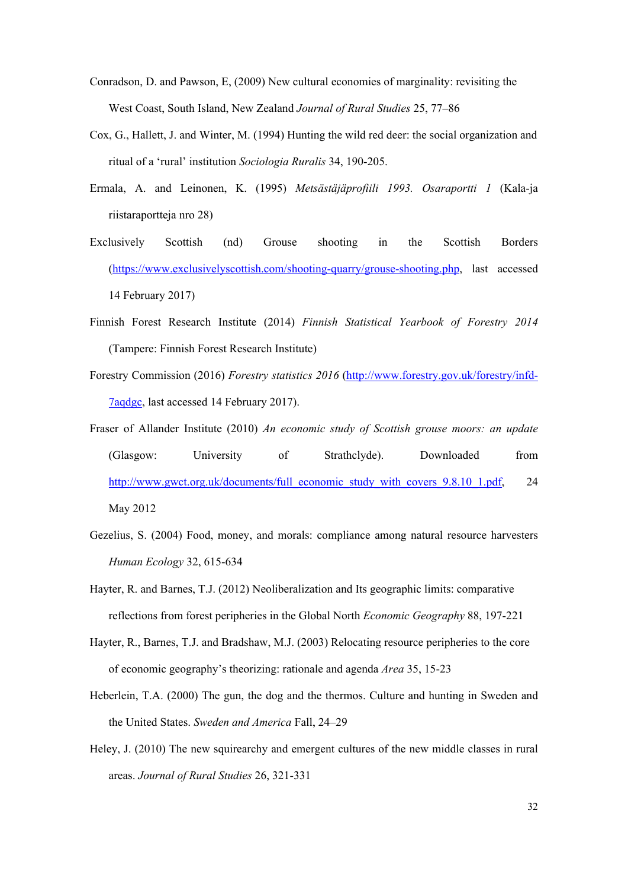- Conradson, D. and Pawson, E, (2009) New cultural economies of marginality: revisiting the West Coast, South Island, New Zealand *Journal of Rural Studies* 25, 77–86
- Cox, G., Hallett, J. and Winter, M. (1994) Hunting the wild red deer: the social organization and ritual of a 'rural' institution *Sociologia Ruralis* 34, 190-205.
- Ermala, A. and Leinonen, K. (1995) *Metsästäjäprofiili 1993. Osaraportti 1* (Kala-ja riistaraportteja nro 28)
- Exclusively Scottish (nd) Grouse shooting in the Scottish Borders ([https://www.exclusivelyscottish.com/shooting-quarry/grouse-shooting.php,](https://www.exclusivelyscottish.com/shooting-quarry/grouse-shooting.php) last accessed 14 February 2017)
- Finnish Forest Research Institute (2014) *Finnish Statistical Yearbook of Forestry 2014* (Tampere: Finnish Forest Research Institute)
- Forestry Commission (2016) *Forestry statistics 2016* [\(http://www.forestry.gov.uk/forestry/infd-](http://www.forestry.gov.uk/forestry/infd-7aqdgc)[7aqdgc,](http://www.forestry.gov.uk/forestry/infd-7aqdgc) last accessed 14 February 2017).
- Fraser of Allander Institute (2010) *An economic study of Scottish grouse moors: an update* (Glasgow: University of Strathclyde). Downloaded from [http://www.gwct.org.uk/documents/full\\_economic\\_study\\_with\\_covers\\_9.8.10\\_1.pdf,](http://www.gwct.org.uk/documents/full_economic_study_with_covers_9.8.10_1.pdf) 24 May 2012
- Gezelius, S. (2004) Food, money, and morals: compliance among natural resource harvesters *Human Ecology* 32, 615-634
- Hayter, R. and Barnes, T.J. (2012) Neoliberalization and Its geographic limits: comparative reflections from forest peripheries in the Global North *Economic Geography* 88, 197-221
- Hayter, R., Barnes, T.J. and Bradshaw, M.J. (2003) Relocating resource peripheries to the core of economic geography's theorizing: rationale and agenda *Area* 35, 15-23
- Heberlein, T.A. (2000) The gun, the dog and the thermos. Culture and hunting in Sweden and the United States. *Sweden and America* Fall, 24–29
- Heley, J. (2010) The new squirearchy and emergent cultures of the new middle classes in rural areas. *Journal of Rural Studies* 26, 321-331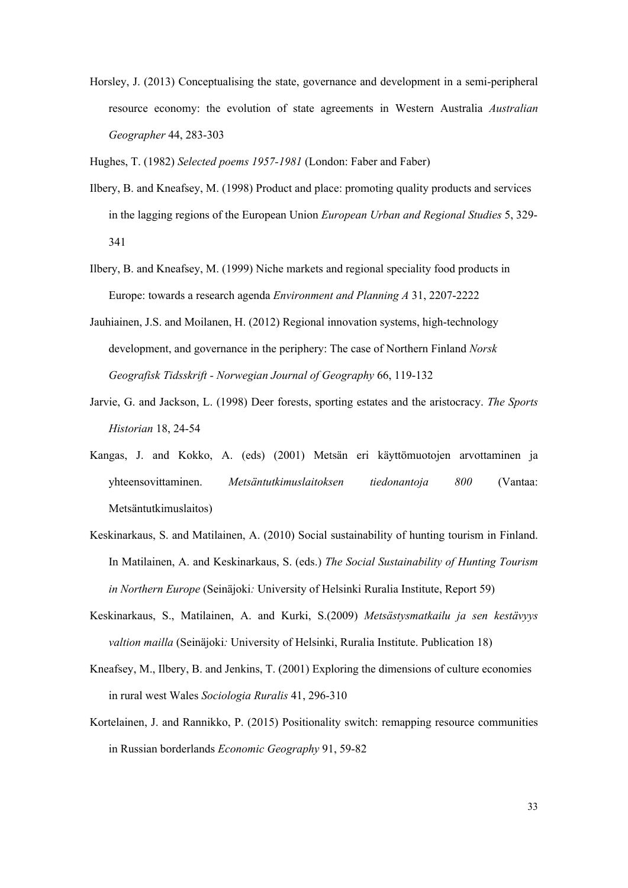- Horsley, J. (2013) Conceptualising the state, governance and development in a semi-peripheral resource economy: the evolution of state agreements in Western Australia *Australian Geographer* 44, 283-303
- Hughes, T. (1982) *Selected poems 1957-1981* (London: Faber and Faber)
- Ilbery, B. and Kneafsey, M. (1998) Product and place: promoting quality products and services in the lagging regions of the European Union *European Urban and Regional Studies* 5, 329- 341
- Ilbery, B. and Kneafsey, M. (1999) Niche markets and regional speciality food products in Europe: towards a research agenda *Environment and Planning A* 31, 2207-2222
- Jauhiainen, J.S. and Moilanen, H. (2012) Regional innovation systems, high-technology development, and governance in the periphery: The case of Northern Finland *Norsk Geografisk Tidsskrift - Norwegian Journal of Geography* 66, 119-132
- Jarvie, G. and Jackson, L. (1998) Deer forests, sporting estates and the aristocracy. *The Sports Historian* 18, 24-54
- Kangas, J. and Kokko, A. (eds) (2001) Metsän eri käyttömuotojen arvottaminen ja yhteensovittaminen. *Metsäntutkimuslaitoksen tiedonantoja 800* (Vantaa: Metsäntutkimuslaitos)
- Keskinarkaus, S. and Matilainen, A. (2010) Social sustainability of hunting tourism in Finland. In Matilainen, A. and Keskinarkaus, S. (eds.) *The Social Sustainability of Hunting Tourism in Northern Europe* (Seinäjoki*:* University of Helsinki Ruralia Institute, Report 59)
- Keskinarkaus, S., Matilainen, A. and Kurki, S.(2009) *Metsästysmatkailu ja sen kestävyys valtion mailla* (Seinäjoki*:* University of Helsinki, Ruralia Institute. Publication 18)
- Kneafsey, M., Ilbery, B. and Jenkins, T. (2001) Exploring the dimensions of culture economies in rural west Wales *Sociologia Ruralis* 41, 296-310
- Kortelainen, J. and Rannikko, P. (2015) Positionality switch: remapping resource communities in Russian borderlands *Economic Geography* 91, 59-82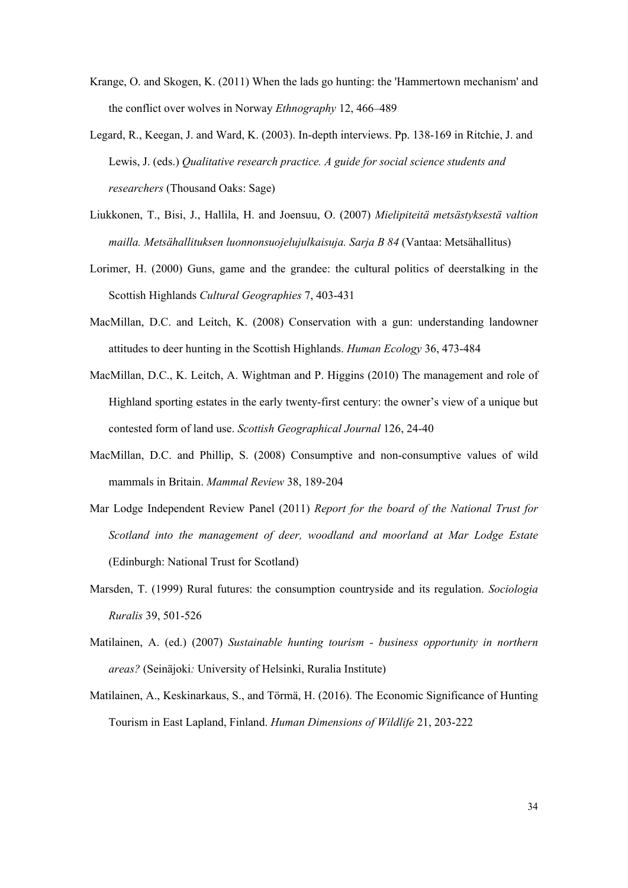- Krange, O. and Skogen, K. (2011) When the lads go hunting: the 'Hammertown mechanism' and the conflict over wolves in Norway *Ethnography* 12, 466–489
- Legard, R., Keegan, J. and Ward, K. (2003). In-depth interviews. Pp. 138-169 in Ritchie, J. and Lewis, J. (eds.) *Qualitative research practice. A guide for social science students and researchers* (Thousand Oaks: Sage)
- Liukkonen, T., Bisi, J., Hallila, H. and Joensuu, O. (2007) *Mielipiteitä metsästyksestä valtion mailla. Metsähallituksen luonnonsuojelujulkaisuja. Sarja B 84* (Vantaa: Metsähallitus)
- Lorimer, H. (2000) Guns, game and the grandee: the cultural politics of deerstalking in the Scottish Highlands *Cultural Geographies* 7, 403-431
- MacMillan, D.C. and Leitch, K. (2008) Conservation with a gun: understanding landowner attitudes to deer hunting in the Scottish Highlands. *Human Ecology* 36, 473-484
- MacMillan, D.C., K. Leitch, A. Wightman and P. Higgins (2010) The management and role of Highland sporting estates in the early twenty-first century: the owner's view of a unique but contested form of land use. *Scottish Geographical Journal* 126, 24-40
- MacMillan, D.C. and Phillip, S. (2008) Consumptive and non-consumptive values of wild mammals in Britain. *Mammal Review* 38, 189-204
- Mar Lodge Independent Review Panel (2011) *Report for the board of the National Trust for Scotland into the management of deer, woodland and moorland at Mar Lodge Estate*  (Edinburgh: National Trust for Scotland)
- Marsden, T. (1999) Rural futures: the consumption countryside and its regulation. *Sociologia Ruralis* 39, 501-526
- Matilainen, A. (ed.) (2007) *Sustainable hunting tourism business opportunity in northern areas?* (Seinäjoki*:* University of Helsinki, Ruralia Institute)
- Matilainen, A., Keskinarkaus, S., and Törmä, H. (2016). The Economic Significance of Hunting Tourism in East Lapland, Finland. *Human Dimensions of Wildlife* 21, 203-222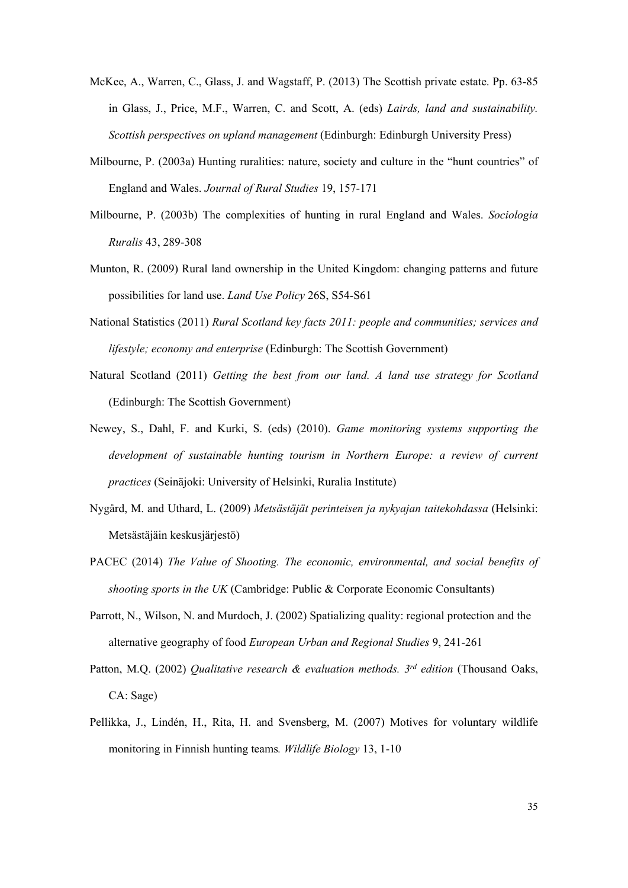- McKee, A., Warren, C., Glass, J. and Wagstaff, P. (2013) The Scottish private estate. Pp. 63-85 in Glass, J., Price, M.F., Warren, C. and Scott, A. (eds) *Lairds, land and sustainability. Scottish perspectives on upland management* (Edinburgh: Edinburgh University Press)
- Milbourne, P. (2003a) Hunting ruralities: nature, society and culture in the "hunt countries" of England and Wales. *Journal of Rural Studies* 19, 157-171
- Milbourne, P. (2003b) The complexities of hunting in rural England and Wales. *Sociologia Ruralis* 43, 289-308
- Munton, R. (2009) Rural land ownership in the United Kingdom: changing patterns and future possibilities for land use. *Land Use Policy* 26S, S54-S61
- National Statistics (2011) *Rural Scotland key facts 2011: people and communities; services and lifestyle; economy and enterprise* (Edinburgh: The Scottish Government)
- Natural Scotland (2011) *Getting the best from our land. A land use strategy for Scotland*  (Edinburgh: The Scottish Government)
- Newey, S., Dahl, F. and Kurki, S. (eds) (2010). *Game monitoring systems supporting the development of sustainable hunting tourism in Northern Europe: a review of current practices* (Seinäjoki: University of Helsinki, Ruralia Institute)
- Nygård, M. and Uthard, L. (2009) *Metsästäjät perinteisen ja nykyajan taitekohdassa* (Helsinki: Metsästäjäin keskusjärjestö)
- PACEC (2014) *The Value of Shooting. The economic, environmental, and social benefits of shooting sports in the UK* (Cambridge: Public & Corporate Economic Consultants)
- Parrott, N., Wilson, N. and Murdoch, J. (2002) Spatializing quality: regional protection and the alternative geography of food *European Urban and Regional Studies* 9, 241-261
- Patton, M.Q. (2002) *Qualitative research & evaluation methods. 3rd edition* (Thousand Oaks, CA: Sage)
- Pellikka, J., Lindén, H., Rita, H. and Svensberg, M. (2007) Motives for voluntary wildlife monitoring in Finnish hunting teams*. Wildlife Biology* 13, 1-10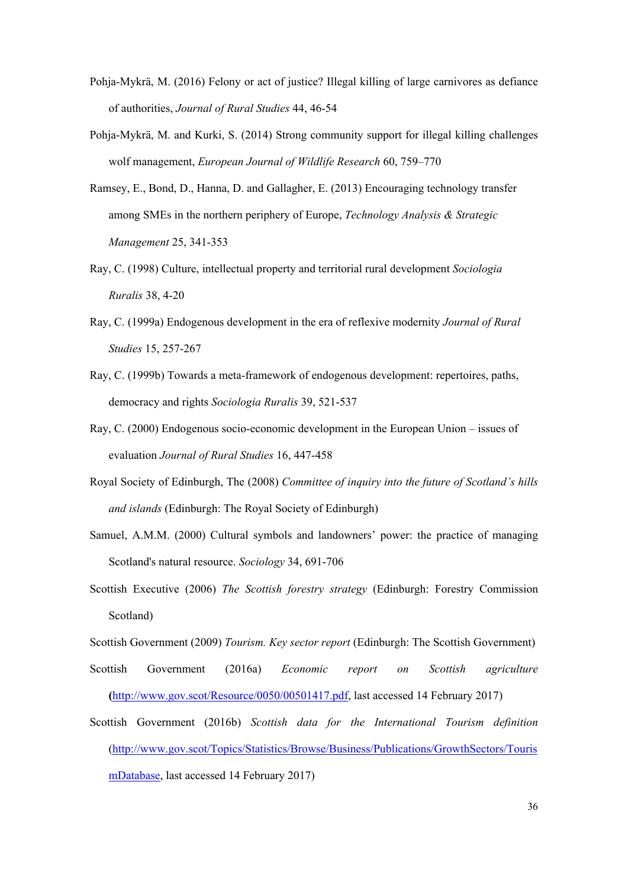- Pohja-Mykrä, M. (2016) Felony or act of justice? Illegal killing of large carnivores as defiance of authorities, *Journal of Rural Studies* 44, 46-54
- Pohja-Mykrä, M. and Kurki, S. (2014) Strong community support for illegal killing challenges wolf management, *European Journal of Wildlife Research* 60, 759–770
- Ramsey, E., Bond, D., Hanna, D. and Gallagher, E. (2013) Encouraging technology transfer among SMEs in the northern periphery of Europe, *Technology Analysis & Strategic Management* 25, 341-353
- Ray, C. (1998) Culture, intellectual property and territorial rural development *Sociologia Ruralis* 38, 4-20
- Ray, C. (1999a) Endogenous development in the era of reflexive modernity *Journal of Rural Studies* 15, 257-267
- Ray, C. (1999b) Towards a meta-framework of endogenous development: repertoires, paths, democracy and rights *Sociologia Ruralis* 39, 521-537
- Ray, C. (2000) Endogenous socio-economic development in the European Union issues of evaluation *Journal of Rural Studies* 16, 447-458
- Royal Society of Edinburgh, The (2008) *Committee of inquiry into the future of Scotland's hills and islands* (Edinburgh: The Royal Society of Edinburgh)
- Samuel, A.M.M. (2000) Cultural symbols and landowners' power: the practice of managing Scotland's natural resource. *Sociology* 34, 691-706
- Scottish Executive (2006) *The Scottish forestry strategy* (Edinburgh: Forestry Commission Scotland)

Scottish Government (2009) *Tourism. Key sector report* (Edinburgh: The Scottish Government)

- Scottish Government (2016a) *Economic report on Scottish agriculture* **(**<http://www.gov.scot/Resource/0050/00501417.pdf>, last accessed 14 February 2017)
- Scottish Government (2016b) *Scottish data for the International Tourism definition* ([http://www.gov.scot/Topics/Statistics/Browse/Business/Publications/GrowthSectors/Touris](http://www.gov.scot/Topics/Statistics/Browse/Business/Publications/GrowthSectors/TourismDatabase) [mDatabase,](http://www.gov.scot/Topics/Statistics/Browse/Business/Publications/GrowthSectors/TourismDatabase) last accessed 14 February 2017)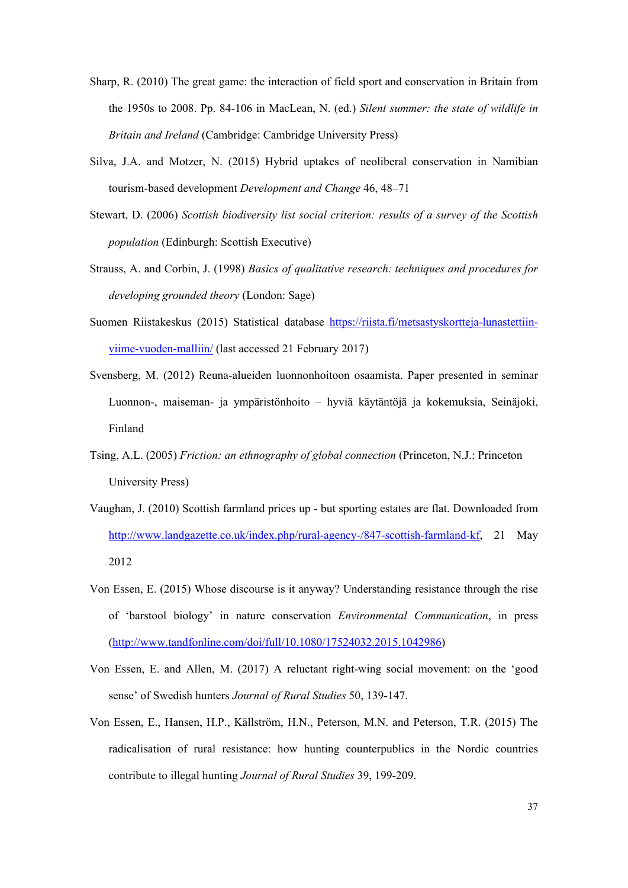- Sharp, R. (2010) The great game: the interaction of field sport and conservation in Britain from the 1950s to 2008. Pp. 84-106 in MacLean, N. (ed.) *Silent summer: the state of wildlife in Britain and Ireland* (Cambridge: Cambridge University Press)
- Silva, J.A. and Motzer, N. (2015) Hybrid uptakes of neoliberal conservation in Namibian tourism-based development *Development and Change* 46, 48–71
- Stewart, D. (2006) *Scottish biodiversity list social criterion: results of a survey of the Scottish population* (Edinburgh: Scottish Executive)
- Strauss, A. and Corbin, J. (1998) *Basics of qualitative research: techniques and procedures for developing grounded theory* (London: Sage)
- Suomen Riistakeskus (2015) Statistical database [https://riista.fi/metsastyskortteja-lunastettiin](https://riista.fi/metsastyskortteja-lunastettiin-viime-vuoden-malliin/)[viime-vuoden-malliin/](https://riista.fi/metsastyskortteja-lunastettiin-viime-vuoden-malliin/) (last accessed 21 February 2017)
- Svensberg, M. (2012) Reuna-alueiden luonnonhoitoon osaamista. Paper presented in seminar Luonnon-, maiseman- ja ympäristönhoito – hyviä käytäntöjä ja kokemuksia, Seinäjoki, Finland
- Tsing, A.L. (2005) *Friction: an ethnography of global connection* (Princeton, N.J.: Princeton University Press)
- Vaughan, J. (2010) Scottish farmland prices up but sporting estates are flat. Downloaded from [http://www.landgazette.co.uk/index.php/rural-agency-/847-scottish-farmland-kf,](http://www.landgazette.co.uk/index.php/rural-agency-/847-scottish-farmland-kf) 21 May 2012
- Von Essen, E. (2015) Whose discourse is it anyway? Understanding resistance through the rise of 'barstool biology' in nature conservation *Environmental Communication*, in press ([http://www.tandfonline.com/doi/full/10.1080/17524032.2015.1042986\)](http://www.tandfonline.com/doi/full/10.1080/17524032.2015.1042986)
- Von Essen, E. and Allen, M. (2017) A reluctant right-wing social movement: on the 'good sense' of Swedish hunters *Journal of Rural Studies* 50, 139-147.
- Von Essen, E., Hansen, H.P., Källström, H.N., Peterson, M.N. and Peterson, T.R. (2015) The radicalisation of rural resistance: how hunting counterpublics in the Nordic countries contribute to illegal hunting *Journal of Rural Studies* 39, 199-209.